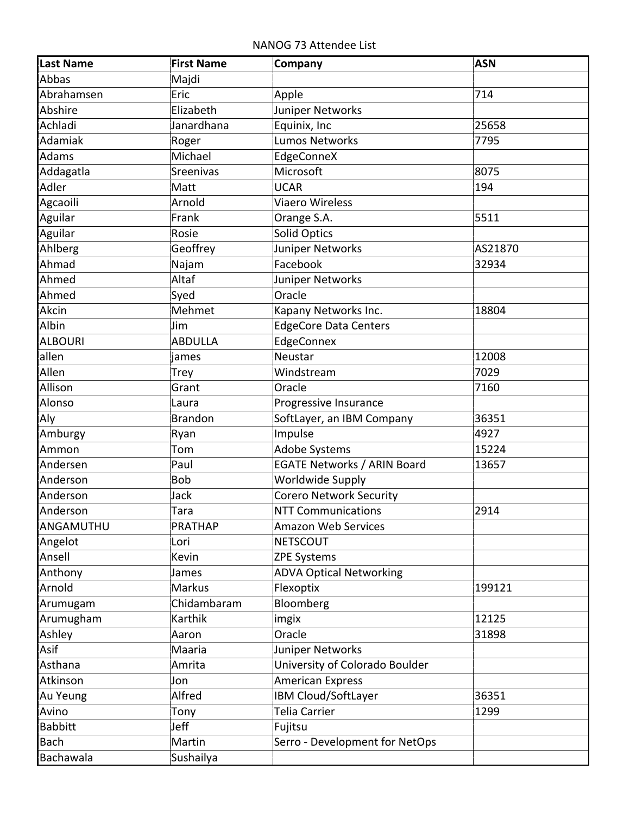NANOG 73 Attendee List

| <b>Last Name</b> | <b>First Name</b> | Company                            | <b>ASN</b> |
|------------------|-------------------|------------------------------------|------------|
| Abbas            | Majdi             |                                    |            |
| Abrahamsen       | Eric              | Apple                              | 714        |
| Abshire          | Elizabeth         | Juniper Networks                   |            |
| Achladi          | Janardhana        | Equinix, Inc                       | 25658      |
| Adamiak          | Roger             | <b>Lumos Networks</b>              | 7795       |
| Adams            | Michael           | EdgeConneX                         |            |
| Addagatla        | Sreenivas         | Microsoft                          | 8075       |
| Adler            | Matt              | <b>UCAR</b>                        | 194        |
| Agcaoili         | Arnold            | <b>Viaero Wireless</b>             |            |
| Aguilar          | Frank             | Orange S.A.                        | 5511       |
| Aguilar          | Rosie             | Solid Optics                       |            |
| Ahlberg          | Geoffrey          | Juniper Networks                   | AS21870    |
| Ahmad            | Najam             | Facebook                           | 32934      |
| Ahmed            | Altaf             | Juniper Networks                   |            |
| Ahmed            | Syed              | Oracle                             |            |
| Akcin            | Mehmet            | Kapany Networks Inc.               | 18804      |
| Albin            | Jim               | <b>EdgeCore Data Centers</b>       |            |
| <b>ALBOURI</b>   | <b>ABDULLA</b>    | EdgeConnex                         |            |
| allen            | james             | Neustar                            | 12008      |
| Allen            | Trey              | Windstream                         | 7029       |
| Allison          | Grant             | Oracle                             | 7160       |
| Alonso           | Laura             | Progressive Insurance              |            |
| Aly              | <b>Brandon</b>    | SoftLayer, an IBM Company          | 36351      |
| Amburgy          | Ryan              | Impulse                            | 4927       |
| Ammon            | Tom               | <b>Adobe Systems</b>               | 15224      |
| Andersen         | Paul              | <b>EGATE Networks / ARIN Board</b> | 13657      |
| Anderson         | <b>Bob</b>        | <b>Worldwide Supply</b>            |            |
| Anderson         | Jack              | <b>Corero Network Security</b>     |            |
| Anderson         | Tara              | <b>NTT Communications</b>          | 2914       |
| ANGAMUTHU        | <b>PRATHAP</b>    | Amazon Web Services                |            |
| Angelot          | Lori              | <b>NETSCOUT</b>                    |            |
| Ansell           | Kevin             | <b>ZPE Systems</b>                 |            |
| Anthony          | James             | <b>ADVA Optical Networking</b>     |            |
| Arnold           | Markus            | Flexoptix                          | 199121     |
| Arumugam         | Chidambaram       | Bloomberg                          |            |
| Arumugham        | Karthik           | imgix                              | 12125      |
| Ashley           | Aaron             | Oracle                             | 31898      |
| Asif             | Maaria            | Juniper Networks                   |            |
| Asthana          | Amrita            | University of Colorado Boulder     |            |
| Atkinson         | Jon               | <b>American Express</b>            |            |
| Au Yeung         | Alfred            | IBM Cloud/SoftLayer                | 36351      |
| Avino            | Tony              | Telia Carrier                      | 1299       |
| <b>Babbitt</b>   | Jeff              | Fujitsu                            |            |
| <b>Bach</b>      | Martin            | Serro - Development for NetOps     |            |
| Bachawala        | Sushailya         |                                    |            |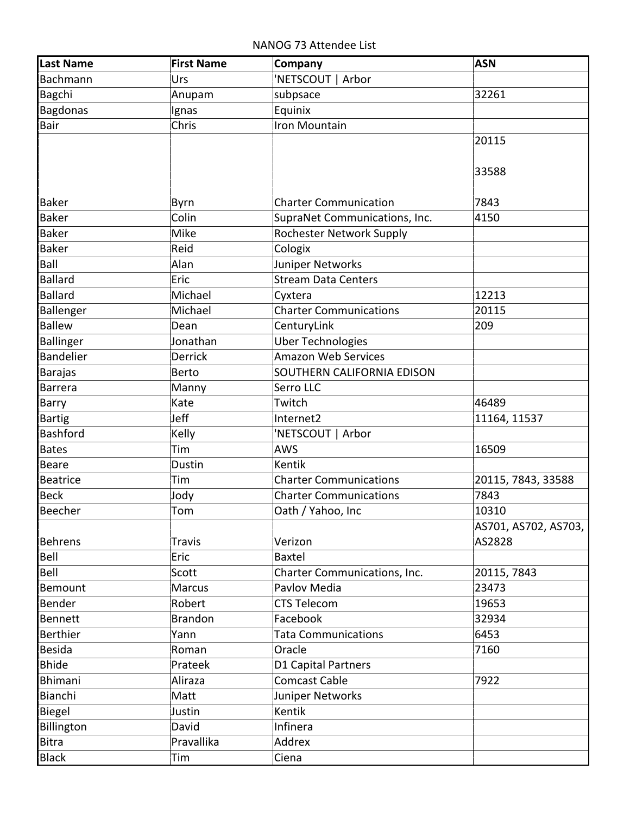NANOG 73 Attendee List

| <b>Last Name</b> | <b>First Name</b> | Company                       | <b>ASN</b>           |
|------------------|-------------------|-------------------------------|----------------------|
| Bachmann         | Urs               | NETSCOUT   Arbor              |                      |
| Bagchi           | Anupam            | subpsace                      | 32261                |
| <b>Bagdonas</b>  | Ignas             | Equinix                       |                      |
| Bair             | Chris             | Iron Mountain                 |                      |
|                  |                   |                               | 20115                |
|                  |                   |                               |                      |
|                  |                   |                               | 33588                |
|                  |                   |                               |                      |
| <b>Baker</b>     | <b>Byrn</b>       | <b>Charter Communication</b>  | 7843                 |
| <b>Baker</b>     | Colin             | SupraNet Communications, Inc. | 4150                 |
| <b>Baker</b>     | Mike              | Rochester Network Supply      |                      |
| <b>Baker</b>     | Reid              | Cologix                       |                      |
| Ball             | Alan              | Juniper Networks              |                      |
| <b>Ballard</b>   | Eric              | <b>Stream Data Centers</b>    |                      |
| <b>Ballard</b>   | Michael           | Cyxtera                       | 12213                |
| Ballenger        | Michael           | <b>Charter Communications</b> | 20115                |
| <b>Ballew</b>    | Dean              | CenturyLink                   | 209                  |
| <b>Ballinger</b> | Jonathan          | <b>Uber Technologies</b>      |                      |
| <b>Bandelier</b> | <b>Derrick</b>    | <b>Amazon Web Services</b>    |                      |
| <b>Barajas</b>   | <b>Berto</b>      | SOUTHERN CALIFORNIA EDISON    |                      |
| <b>Barrera</b>   | Manny             | Serro LLC                     |                      |
| <b>Barry</b>     | Kate              | Twitch                        | 46489                |
| <b>Bartig</b>    | Jeff              | Internet2                     | 11164, 11537         |
| Bashford         | Kelly             | 'NETSCOUT   Arbor             |                      |
| <b>Bates</b>     | Tim               | <b>AWS</b>                    | 16509                |
| <b>Beare</b>     | Dustin            | Kentik                        |                      |
| <b>Beatrice</b>  | Tim               | <b>Charter Communications</b> | 20115, 7843, 33588   |
| <b>Beck</b>      | Jody              | <b>Charter Communications</b> | 7843                 |
| Beecher          | Tom               | Oath / Yahoo, Inc             | 10310                |
|                  |                   |                               | AS701, AS702, AS703, |
| <b>Behrens</b>   | <b>Travis</b>     | Verizon                       | AS2828               |
| Bell             | Eric              | <b>Baxtel</b>                 |                      |
| Bell             | Scott             | Charter Communications, Inc.  | 20115, 7843          |
| Bemount          | <b>Marcus</b>     | Pavlov Media                  | 23473                |
| Bender           | Robert            | <b>CTS Telecom</b>            | 19653                |
| <b>Bennett</b>   | <b>Brandon</b>    | Facebook                      | 32934                |
| <b>Berthier</b>  | Yann              | <b>Tata Communications</b>    | 6453                 |
| <b>Besida</b>    | Roman             | Oracle                        | 7160                 |
| <b>Bhide</b>     | Prateek           | D1 Capital Partners           |                      |
| <b>Bhimani</b>   | Aliraza           | <b>Comcast Cable</b>          | 7922                 |
| Bianchi          | Matt              | Juniper Networks              |                      |
| Biegel           | Justin            | Kentik                        |                      |
| Billington       | David             | Infinera                      |                      |
| <b>Bitra</b>     | Pravallika        | Addrex                        |                      |
|                  |                   |                               |                      |
| <b>Black</b>     | Tim               | Ciena                         |                      |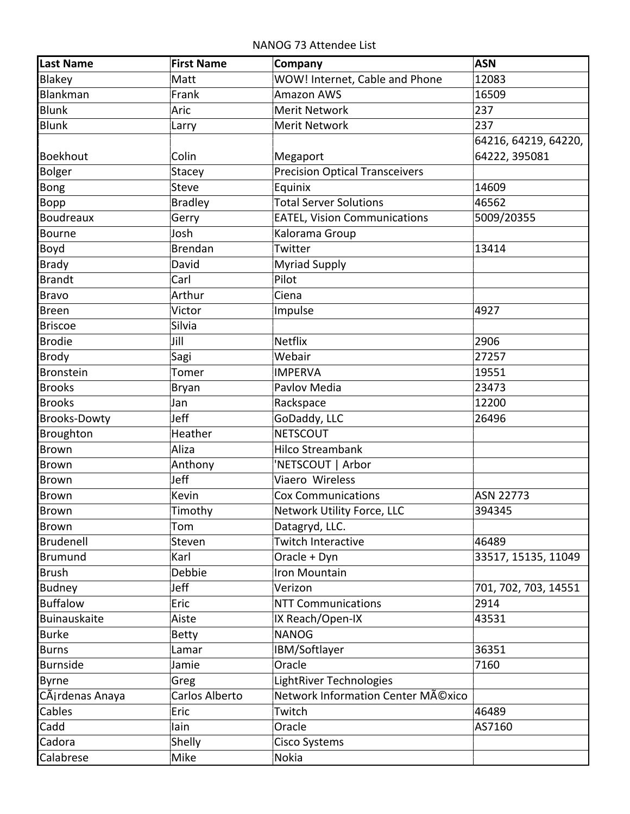NANOG 73 Attendee List

| Last Name           | <b>First Name</b> | Company                               | <b>ASN</b>           |
|---------------------|-------------------|---------------------------------------|----------------------|
| Blakey              | Matt              | WOW! Internet, Cable and Phone        | 12083                |
| Blankman            | Frank             | <b>Amazon AWS</b>                     | 16509                |
| <b>Blunk</b>        | Aric              | Merit Network                         | 237                  |
| <b>Blunk</b>        | Larry             | <b>Merit Network</b>                  | 237                  |
|                     |                   |                                       | 64216, 64219, 64220, |
| <b>Boekhout</b>     | Colin             | Megaport                              | 64222, 395081        |
| <b>Bolger</b>       | Stacey            | <b>Precision Optical Transceivers</b> |                      |
| Bong                | <b>Steve</b>      | Equinix                               | 14609                |
| Bopp                | Bradley           | Total Server Solutions                | 46562                |
| <b>Boudreaux</b>    | Gerry             | <b>EATEL, Vision Communications</b>   | 5009/20355           |
| <b>Bourne</b>       | Josh              | Kalorama Group                        |                      |
| Boyd                | Brendan           | Twitter                               | 13414                |
| <b>Brady</b>        | David             | <b>Myriad Supply</b>                  |                      |
| <b>Brandt</b>       | Carl              | Pilot                                 |                      |
| <b>Bravo</b>        | Arthur            | Ciena                                 |                      |
| <b>Breen</b>        | Victor            | Impulse                               | 4927                 |
| <b>Briscoe</b>      | Silvia            |                                       |                      |
| <b>Brodie</b>       | Jill              | <b>Netflix</b>                        | 2906                 |
| <b>Brody</b>        | Sagi              | Webair                                | 27257                |
| <b>Bronstein</b>    | Tomer             | <b>IMPERVA</b>                        | 19551                |
| <b>Brooks</b>       | Bryan             | Pavlov Media                          | 23473                |
| <b>Brooks</b>       | Jan               | Rackspace                             | 12200                |
| <b>Brooks-Dowty</b> | Jeff              | GoDaddy, LLC                          | 26496                |
| Broughton           | Heather           | <b>NETSCOUT</b>                       |                      |
| <b>Brown</b>        | Aliza             | <b>Hilco Streambank</b>               |                      |
| <b>Brown</b>        | Anthony           | 'NETSCOUT   Arbor                     |                      |
| <b>Brown</b>        | Jeff              | Viaero Wireless                       |                      |
| <b>Brown</b>        | Kevin             | <b>Cox Communications</b>             | ASN 22773            |
| Brown               | Timothy           | Network Utility Force, LLC            | 394345               |
| <b>Brown</b>        | Tom               | Datagryd, LLC.                        |                      |
| Brudenell           | Steven            | Twitch Interactive                    | 46489                |
| <b>Brumund</b>      | Karl              | Oracle + Dyn                          | 33517, 15135, 11049  |
| <b>Brush</b>        | Debbie            | Iron Mountain                         |                      |
| <b>Budney</b>       | Jeff              | Verizon                               | 701, 702, 703, 14551 |
| <b>Buffalow</b>     | Eric              | <b>NTT Communications</b>             | 2914                 |
| Buinauskaite        | Aiste             | IX Reach/Open-IX                      | 43531                |
| <b>Burke</b>        | <b>Betty</b>      | <b>NANOG</b>                          |                      |
| <b>Burns</b>        | Lamar             | IBM/Softlayer                         | 36351                |
| <b>Burnside</b>     | Jamie             | Oracle                                | 7160                 |
| <b>Byrne</b>        | Greg              | LightRiver Technologies               |                      |
| CÃirdenas Anaya     | Carlos Alberto    | Network Information Center México     |                      |
| Cables              | Eric              | Twitch                                | 46489                |
| Cadd                | lain              | Oracle                                | AS7160               |
| Cadora              | Shelly            | Cisco Systems                         |                      |
| Calabrese           | Mike              | Nokia                                 |                      |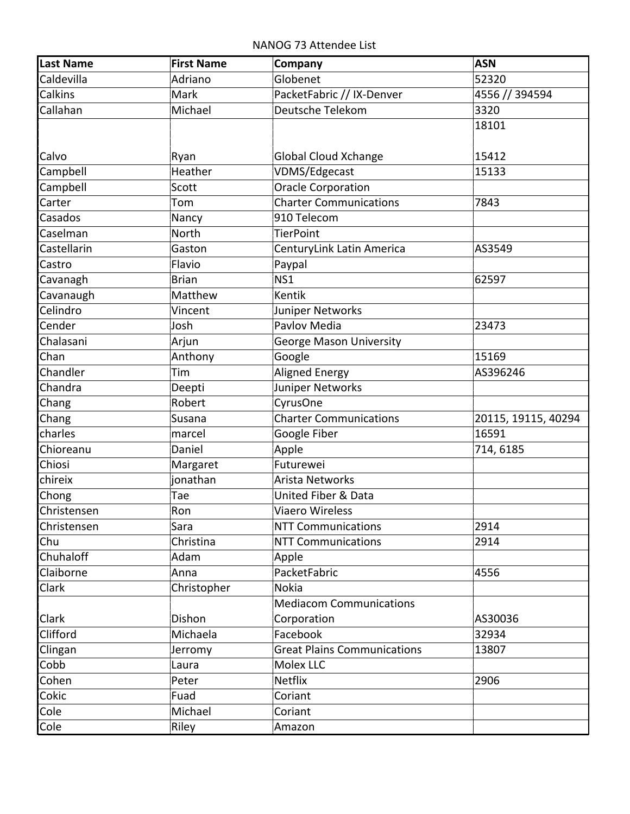NANOG 73 Attendee List

| Last Name   | <b>First Name</b> | Company                            | <b>ASN</b>          |
|-------------|-------------------|------------------------------------|---------------------|
| Caldevilla  | Adriano           | Globenet                           | 52320               |
| Calkins     | Mark              | PacketFabric // IX-Denver          | 4556 // 394594      |
| Callahan    | Michael           | Deutsche Telekom                   | 3320                |
|             |                   |                                    | 18101               |
| Calvo       | Ryan              | <b>Global Cloud Xchange</b>        | 15412               |
| Campbell    | Heather           | VDMS/Edgecast                      | 15133               |
| Campbell    | Scott             | <b>Oracle Corporation</b>          |                     |
| Carter      | Tom               | <b>Charter Communications</b>      | 7843                |
| Casados     | Nancy             | 910 Telecom                        |                     |
| Caselman    | North             | <b>TierPoint</b>                   |                     |
| Castellarin | Gaston            | CenturyLink Latin America          | AS3549              |
| Castro      | Flavio            | Paypal                             |                     |
| Cavanagh    | <b>Brian</b>      | NS <sub>1</sub>                    | 62597               |
| Cavanaugh   | Matthew           | Kentik                             |                     |
| Celindro    | Vincent           | Juniper Networks                   |                     |
| Cender      | Josh              | Pavlov Media                       | 23473               |
| Chalasani   | Arjun             | <b>George Mason University</b>     |                     |
| Chan        | Anthony           | Google                             | 15169               |
| Chandler    | Tim               | <b>Aligned Energy</b>              | AS396246            |
| Chandra     | Deepti            | Juniper Networks                   |                     |
| Chang       | Robert            | CyrusOne                           |                     |
| Chang       | Susana            | <b>Charter Communications</b>      | 20115, 19115, 40294 |
| charles     | marcel            | Google Fiber                       | 16591               |
| Chioreanu   | Daniel            | Apple                              | 714, 6185           |
| Chiosi      | Margaret          | Futurewei                          |                     |
| chireix     | jonathan          | Arista Networks                    |                     |
| Chong       | Tae               | United Fiber & Data                |                     |
| Christensen | Ron               | Viaero Wireless                    |                     |
| Christensen | Sara              | <b>NTT Communications</b>          | 2914                |
| Chu         | Christina         | <b>NTT Communications</b>          | 2914                |
| Chuhaloff   | Adam              | Apple                              |                     |
| Claiborne   | Anna              | PacketFabric                       | 4556                |
| Clark       | Christopher       | Nokia                              |                     |
|             |                   | <b>Mediacom Communications</b>     |                     |
| Clark       | Dishon            | Corporation                        | AS30036             |
| Clifford    | Michaela          | Facebook                           | 32934               |
| Clingan     | Jerromy           | <b>Great Plains Communications</b> | 13807               |
| Cobb        | Laura             | Molex LLC                          |                     |
| Cohen       | Peter             | Netflix                            | 2906                |
| Cokic       | Fuad              | Coriant                            |                     |
| Cole        | Michael           | Coriant                            |                     |
| Cole        | Riley             | Amazon                             |                     |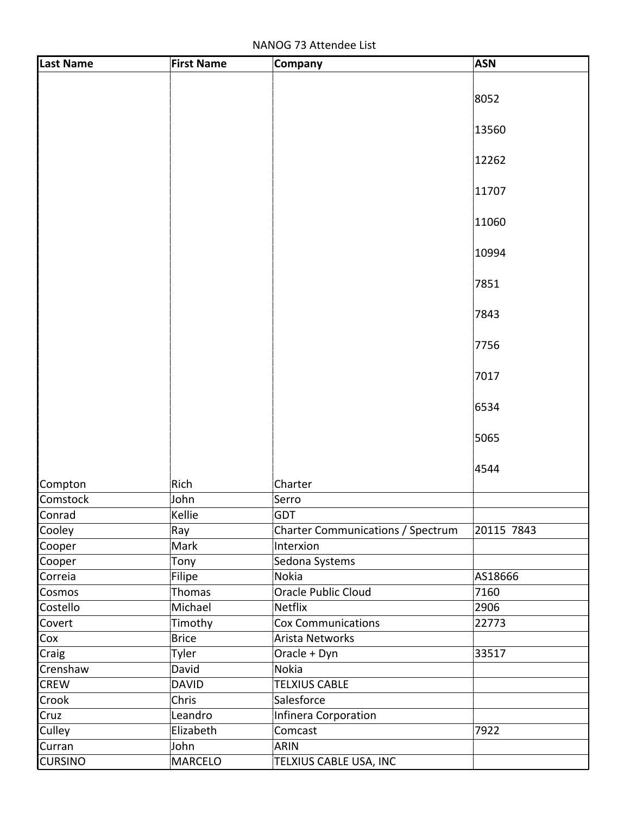NANOG 73 Attendee List

| <b>Last Name</b> | <b>First Name</b> | Company                           | <b>ASN</b> |
|------------------|-------------------|-----------------------------------|------------|
|                  |                   |                                   |            |
|                  |                   |                                   | 8052       |
|                  |                   |                                   |            |
|                  |                   |                                   | 13560      |
|                  |                   |                                   |            |
|                  |                   |                                   | 12262      |
|                  |                   |                                   |            |
|                  |                   |                                   | 11707      |
|                  |                   |                                   | 11060      |
|                  |                   |                                   |            |
|                  |                   |                                   | 10994      |
|                  |                   |                                   |            |
|                  |                   |                                   | 7851       |
|                  |                   |                                   |            |
|                  |                   |                                   | 7843       |
|                  |                   |                                   |            |
|                  |                   |                                   | 7756       |
|                  |                   |                                   |            |
|                  |                   |                                   | 7017       |
|                  |                   |                                   | 6534       |
|                  |                   |                                   |            |
|                  |                   |                                   | 5065       |
|                  |                   |                                   |            |
|                  |                   |                                   | 4544       |
| Compton          | Rich              | Charter                           |            |
| Comstock         | John              | Serro                             |            |
| Conrad           | Kellie            | <b>GDT</b>                        |            |
| Cooley           | Ray               | Charter Communications / Spectrum | 20115 7843 |
| Cooper           | Mark              | Interxion                         |            |
| Cooper           | Tony              | Sedona Systems                    |            |
| Correia          | Filipe            | Nokia                             | AS18666    |
| Cosmos           | Thomas            | Oracle Public Cloud               | 7160       |
| Costello         | Michael           | Netflix                           | 2906       |
| Covert           | Timothy           | <b>Cox Communications</b>         | 22773      |
| Cox              | <b>Brice</b>      | <b>Arista Networks</b>            |            |
| Craig            | Tyler             | Oracle + Dyn                      | 33517      |
| Crenshaw         | David             | Nokia                             |            |
| <b>CREW</b>      | <b>DAVID</b>      | <b>TELXIUS CABLE</b>              |            |
| Crook            | Chris             | Salesforce                        |            |
| Cruz             | Leandro           | Infinera Corporation              |            |
| Culley           | Elizabeth         | Comcast                           | 7922       |
| Curran           | John              | <b>ARIN</b>                       |            |
| <b>CURSINO</b>   | <b>MARCELO</b>    | TELXIUS CABLE USA, INC            |            |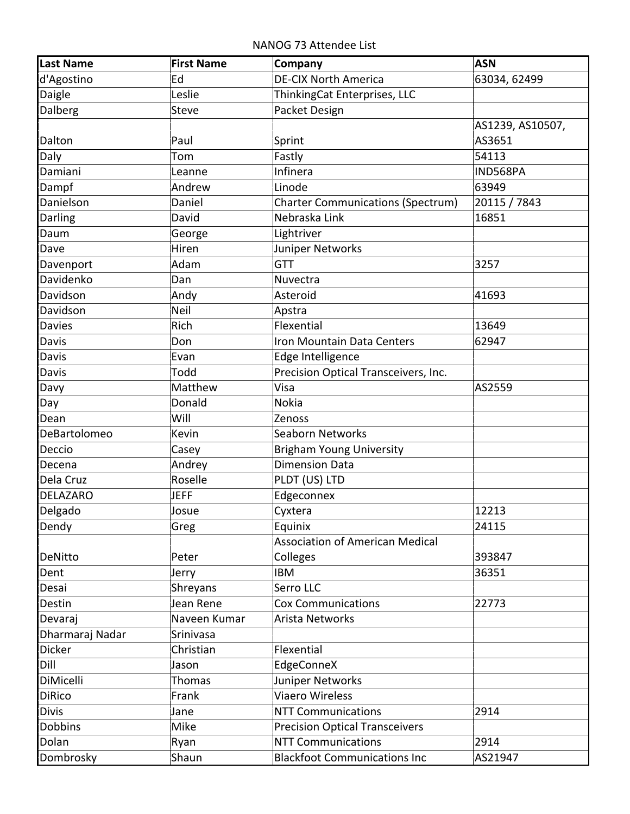NANOG 73 Attendee List

| Last Name       | <b>First Name</b> | Company                                            | <b>ASN</b>                 |
|-----------------|-------------------|----------------------------------------------------|----------------------------|
| d'Agostino      | Ed                | <b>DE-CIX North America</b>                        | 63034, 62499               |
| Daigle          | Leslie            | ThinkingCat Enterprises, LLC                       |                            |
| Dalberg         | <b>Steve</b>      | Packet Design                                      |                            |
| Dalton          | Paul              | Sprint                                             | AS1239, AS10507,<br>AS3651 |
| Daly            | Tom               | Fastly                                             | 54113                      |
| Damiani         | Leanne            | Infinera                                           | IND568PA                   |
| Dampf           | Andrew            | Linode                                             | 63949                      |
| Danielson       | Daniel            | <b>Charter Communications (Spectrum)</b>           | 20115 / 7843               |
| Darling         | David             | Nebraska Link                                      | 16851                      |
| Daum            | George            | Lightriver                                         |                            |
| Dave            | Hiren             | Juniper Networks                                   |                            |
| Davenport       | Adam              | <b>GTT</b>                                         | 3257                       |
| Davidenko       | Dan               | Nuvectra                                           |                            |
| Davidson        | Andy              | Asteroid                                           | 41693                      |
| Davidson        | Neil              | Apstra                                             |                            |
| <b>Davies</b>   | Rich              | Flexential                                         | 13649                      |
| Davis           | Don               | Iron Mountain Data Centers                         | 62947                      |
| Davis           | Evan              | Edge Intelligence                                  |                            |
| Davis           | Todd              | Precision Optical Transceivers, Inc.               |                            |
| Davy            | Matthew           | Visa                                               | AS2559                     |
| Day             | Donald            | <b>Nokia</b>                                       |                            |
| Dean            | Will              | Zenoss                                             |                            |
| DeBartolomeo    | Kevin             | Seaborn Networks                                   |                            |
| Deccio          | Casey             | <b>Brigham Young University</b>                    |                            |
| Decena          | Andrey            | <b>Dimension Data</b>                              |                            |
| Dela Cruz       | Roselle           | PLDT (US) LTD                                      |                            |
| <b>DELAZARO</b> | <b>JEFF</b>       | Edgeconnex                                         |                            |
| Delgado         | Josue             | Cyxtera                                            | 12213                      |
| Dendy           | Greg              | Equinix                                            | 24115                      |
| DeNitto         | Peter             | <b>Association of American Medical</b><br>Colleges | 393847                     |
| Dent            | Jerry             | IBM                                                | 36351                      |
| Desai           | Shreyans          | Serro LLC                                          |                            |
| Destin          | Jean Rene         | <b>Cox Communications</b>                          | 22773                      |
| Devaraj         | Naveen Kumar      | Arista Networks                                    |                            |
| Dharmaraj Nadar | Srinivasa         |                                                    |                            |
| Dicker          | Christian         | Flexential                                         |                            |
| Dill            | Jason             | EdgeConneX                                         |                            |
| DiMicelli       | Thomas            | Juniper Networks                                   |                            |
| <b>DiRico</b>   | Frank             | Viaero Wireless                                    |                            |
| <b>Divis</b>    | Jane              | <b>NTT Communications</b>                          | 2914                       |
| <b>Dobbins</b>  | Mike              | <b>Precision Optical Transceivers</b>              |                            |
| Dolan           | Ryan              | <b>NTT Communications</b>                          | 2914                       |
| Dombrosky       | Shaun             | <b>Blackfoot Communications Inc</b>                | AS21947                    |
|                 |                   |                                                    |                            |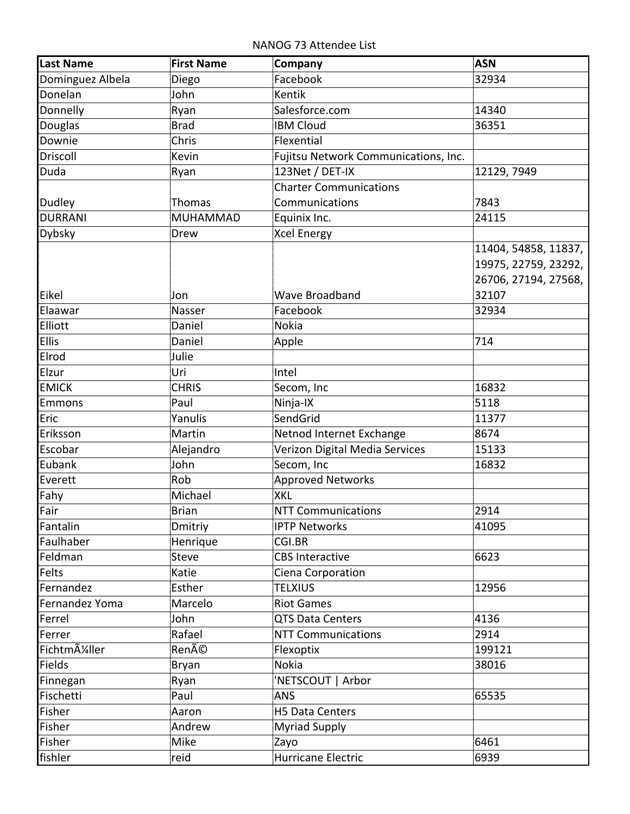NANOG 73 Attendee List

| <b>Last Name</b>                          | <b>First Name</b> | Company                              | <b>ASN</b>           |
|-------------------------------------------|-------------------|--------------------------------------|----------------------|
| Dominguez Albela                          | Diego             | Facebook                             | 32934                |
| Donelan                                   | John              | Kentik                               |                      |
| Donnelly                                  | Ryan              | Salesforce.com                       | 14340                |
| Douglas                                   | <b>Brad</b>       | <b>IBM Cloud</b>                     | 36351                |
| Downie                                    | Chris             | Flexential                           |                      |
| Driscoll                                  | Kevin             | Fujitsu Network Communications, Inc. |                      |
| Duda                                      | Ryan              | 123Net / DET-IX                      | 12129, 7949          |
|                                           |                   | <b>Charter Communications</b>        |                      |
| Dudley                                    | Thomas            | Communications                       | 7843                 |
| <b>DURRANI</b>                            | <b>MUHAMMAD</b>   | Equinix Inc.                         | 24115                |
| <b>Dybsky</b>                             | Drew              | <b>Xcel Energy</b>                   |                      |
|                                           |                   |                                      | 11404, 54858, 11837, |
|                                           |                   |                                      | 19975, 22759, 23292, |
|                                           |                   |                                      | 26706, 27194, 27568, |
| Eikel                                     | Jon               | <b>Wave Broadband</b>                | 32107                |
| Elaawar                                   | Nasser            | Facebook                             | 32934                |
| Elliott                                   | Daniel            | <b>Nokia</b>                         |                      |
| <b>Ellis</b>                              | Daniel            | Apple                                | 714                  |
| Elrod                                     | Julie             |                                      |                      |
| Elzur                                     | Uri               | Intel                                |                      |
| <b>EMICK</b>                              | <b>CHRIS</b>      | Secom, Inc                           | 16832                |
| <b>Emmons</b>                             | Paul              | Ninja-IX                             | 5118                 |
| Eric                                      | Yanulis           | SendGrid                             | 11377                |
| Eriksson                                  | Martin            | Netnod Internet Exchange             | 8674                 |
| Escobar                                   | Alejandro         | Verizon Digital Media Services       | 15133                |
| Eubank                                    | John              | Secom, Inc                           | 16832                |
| Everett                                   | Rob               | <b>Approved Networks</b>             |                      |
| Fahy                                      | Michael           | <b>XKL</b>                           |                      |
| Fair                                      | <b>Brian</b>      | <b>NTT Communications</b>            | 2914                 |
| Fantalin                                  | Dmitriy           | <b>IPTP Networks</b>                 | 41095                |
| Faulhaber                                 | Henrique          | CGI.BR                               |                      |
| Feldman                                   | <b>Steve</b>      | <b>CBS Interactive</b>               | 6623                 |
| Felts                                     | Katie             | Ciena Corporation                    |                      |
| Fernandez                                 | Esther            | <b>TELXIUS</b>                       | 12956                |
| Fernandez Yoma                            | Marcelo           | <b>Riot Games</b>                    |                      |
| Ferrel                                    | John              | QTS Data Centers                     | 4136                 |
| Ferrer                                    | Rafael            | <b>NTT Communications</b>            | 2914                 |
| Fichtm A <sup>1</sup> / <sub>4</sub> ller | René              | Flexoptix                            | 199121               |
| <b>Fields</b>                             | Bryan             | Nokia                                | 38016                |
| Finnegan                                  | Ryan              | 'NETSCOUT   Arbor                    |                      |
| Fischetti                                 | Paul              | <b>ANS</b>                           | 65535                |
| Fisher                                    | Aaron             | H5 Data Centers                      |                      |
| Fisher                                    | Andrew            | <b>Myriad Supply</b>                 |                      |
| Fisher                                    | Mike              | Zayo                                 | 6461                 |
| fishler                                   | reid              | Hurricane Electric                   | 6939                 |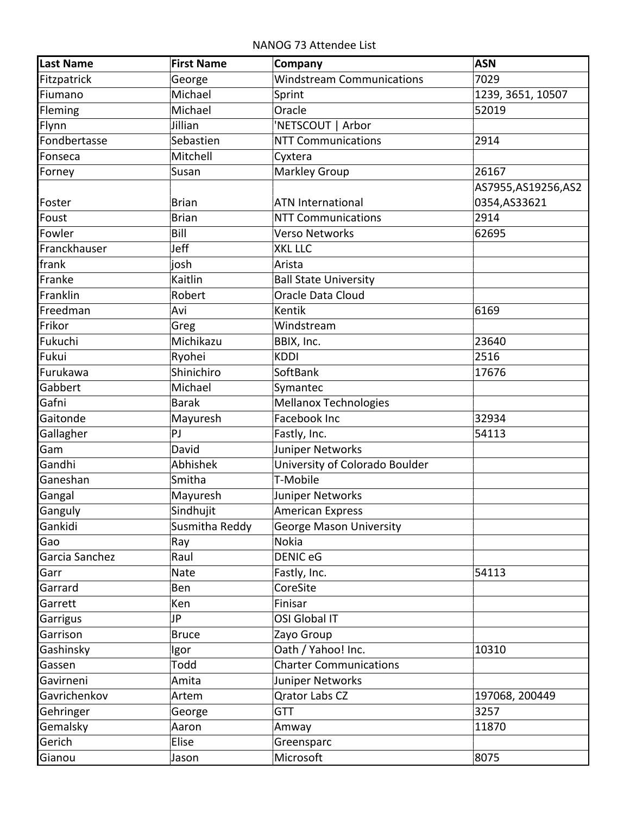NANOG 73 Attendee List

| <b>Last Name</b> | <b>First Name</b> | Company                          | <b>ASN</b>           |
|------------------|-------------------|----------------------------------|----------------------|
| Fitzpatrick      | George            | <b>Windstream Communications</b> | 7029                 |
| Fiumano          | Michael           | Sprint                           | 1239, 3651, 10507    |
| Fleming          | Michael           | Oracle                           | 52019                |
| Flynn            | Jillian           | 'NETSCOUT   Arbor                |                      |
| Fondbertasse     | Sebastien         | <b>NTT Communications</b>        | 2914                 |
| Fonseca          | Mitchell          | Cyxtera                          |                      |
| Forney           | Susan             | <b>Markley Group</b>             | 26167                |
|                  |                   |                                  | AS7955, AS19256, AS2 |
| Foster           | <b>Brian</b>      | <b>ATN International</b>         | 0354,AS33621         |
| Foust            | <b>Brian</b>      | <b>NTT Communications</b>        | 2914                 |
| Fowler           | Bill              | <b>Verso Networks</b>            | 62695                |
| Franckhauser     | Jeff              | <b>XKL LLC</b>                   |                      |
| frank            | josh              | Arista                           |                      |
| Franke           | Kaitlin           | <b>Ball State University</b>     |                      |
| Franklin         | Robert            | Oracle Data Cloud                |                      |
| Freedman         | Avi               | Kentik                           | 6169                 |
| Frikor           | Greg              | Windstream                       |                      |
| Fukuchi          | Michikazu         | BBIX, Inc.                       | 23640                |
| Fukui            | Ryohei            | <b>KDDI</b>                      | 2516                 |
| Furukawa         | Shinichiro        | SoftBank                         | 17676                |
| Gabbert          | Michael           | Symantec                         |                      |
| Gafni            | <b>Barak</b>      | Mellanox Technologies            |                      |
| Gaitonde         | Mayuresh          | Facebook Inc                     | 32934                |
| Gallagher        | PJ                | Fastly, Inc.                     | 54113                |
| Gam              | David             | Juniper Networks                 |                      |
| Gandhi           | Abhishek          | University of Colorado Boulder   |                      |
| Ganeshan         | Smitha            | T-Mobile                         |                      |
| Gangal           | Mayuresh          | Juniper Networks                 |                      |
| Ganguly          | Sindhujit         | American Express                 |                      |
| Gankidi          | Susmitha Reddy    | <b>George Mason University</b>   |                      |
| Gao              | Ray               | Nokia                            |                      |
| Garcia Sanchez   | Raul              | <b>DENIC eG</b>                  |                      |
| Garr             | Nate              | Fastly, Inc.                     | 54113                |
| Garrard          | Ben               | CoreSite                         |                      |
| Garrett          | Ken               | Finisar                          |                      |
| Garrigus         | JP                | OSI Global IT                    |                      |
| Garrison         | <b>Bruce</b>      | Zayo Group                       |                      |
| Gashinsky        | Igor              | Oath / Yahoo! Inc.               | 10310                |
| Gassen           | Todd              | <b>Charter Communications</b>    |                      |
| Gavirneni        | Amita             | Juniper Networks                 |                      |
| Gavrichenkov     | Artem             | <b>Qrator Labs CZ</b>            | 197068, 200449       |
| Gehringer        | George            | <b>GTT</b>                       | 3257                 |
| Gemalsky         | Aaron             | Amway                            | 11870                |
| Gerich           | Elise             | Greensparc                       |                      |
| Gianou           | Jason             | Microsoft                        | 8075                 |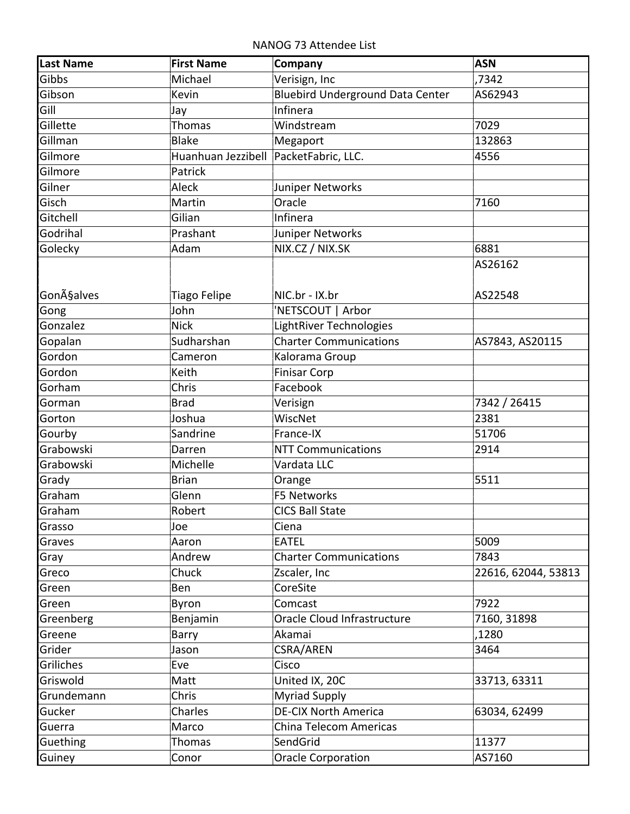NANOG 73 Attendee List

| <b>Last Name</b>   | <b>First Name</b>                       | Company                                 | <b>ASN</b>          |
|--------------------|-----------------------------------------|-----------------------------------------|---------------------|
| Gibbs              | Michael                                 | Verisign, Inc                           | ,7342               |
| Gibson             | Kevin                                   | <b>Bluebird Underground Data Center</b> | AS62943             |
| Gill               | Jay                                     | Infinera                                |                     |
| Gillette           | <b>Thomas</b>                           | Windstream                              | 7029                |
| Gillman            | <b>Blake</b>                            | Megaport                                | 132863              |
| Gilmore            | Huanhuan Jezzibell   PacketFabric, LLC. |                                         | 4556                |
| Gilmore            | Patrick                                 |                                         |                     |
| Gilner             | Aleck                                   | Juniper Networks                        |                     |
| Gisch              | Martin                                  | Oracle                                  | 7160                |
| Gitchell           | Gilian                                  | Infinera                                |                     |
| Godrihal           | Prashant                                | Juniper Networks                        |                     |
| Golecky            | Adam                                    | NIX.CZ / NIX.SK                         | 6881                |
|                    |                                         |                                         | AS26162             |
|                    |                                         |                                         |                     |
| <b>Gon</b> A§alves | <b>Tiago Felipe</b>                     | NIC.br - IX.br                          | AS22548             |
| Gong               | John                                    | 'NETSCOUT   Arbor                       |                     |
| Gonzalez           | <b>Nick</b>                             | LightRiver Technologies                 |                     |
| Gopalan            | Sudharshan                              | <b>Charter Communications</b>           | AS7843, AS20115     |
| Gordon             | Cameron                                 | Kalorama Group                          |                     |
| Gordon             | Keith                                   | <b>Finisar Corp</b>                     |                     |
| Gorham             | Chris                                   | Facebook                                |                     |
| Gorman             | <b>Brad</b>                             | Verisign                                | 7342 / 26415        |
| Gorton             | Joshua                                  | WiscNet                                 | 2381                |
| Gourby             | Sandrine                                | France-IX                               | 51706               |
| Grabowski          | Darren                                  | <b>NTT Communications</b>               | 2914                |
| Grabowski          | Michelle                                | Vardata LLC                             |                     |
| Grady              | <b>Brian</b>                            | Orange                                  | 5511                |
| Graham             | Glenn                                   | F5 Networks                             |                     |
| Graham             | Robert                                  | <b>CICS Ball State</b>                  |                     |
| Grasso             | Joe                                     | Ciena                                   |                     |
| Graves             | Aaron                                   | EATEL                                   | 5009                |
| Gray               | Andrew                                  | <b>Charter Communications</b>           | 7843                |
| Greco              | Chuck                                   | Zscaler, Inc                            | 22616, 62044, 53813 |
| Green              | Ben                                     | CoreSite                                |                     |
| Green              | Byron                                   | Comcast                                 | 7922                |
| Greenberg          | Benjamin                                | Oracle Cloud Infrastructure             | 7160, 31898         |
| Greene             | Barry                                   | Akamai                                  | ,1280               |
| Grider             | Jason                                   | CSRA/AREN                               | 3464                |
| Griliches          | Eve                                     | Cisco                                   |                     |
| Griswold           | Matt                                    | United IX, 20C                          | 33713, 63311        |
| Grundemann         | Chris                                   | <b>Myriad Supply</b>                    |                     |
| Gucker             | Charles                                 | <b>DE-CIX North America</b>             | 63034, 62499        |
| Guerra             | Marco                                   | China Telecom Americas                  |                     |
| <b>Guething</b>    | <b>Thomas</b>                           | SendGrid                                | 11377               |
| Guiney             | Conor                                   | <b>Oracle Corporation</b>               | AS7160              |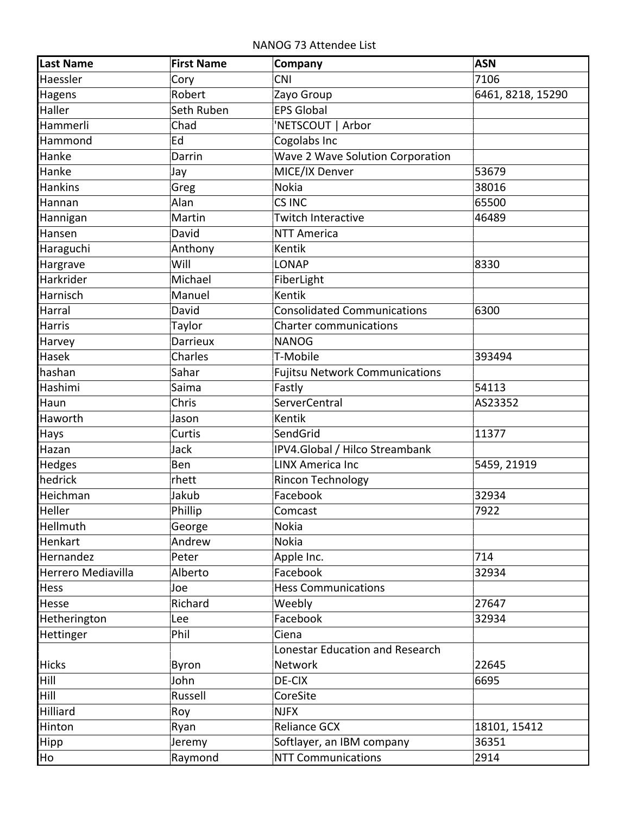NANOG 73 Attendee List

| <b>Last Name</b>   | <b>First Name</b> | Company                               | <b>ASN</b>        |
|--------------------|-------------------|---------------------------------------|-------------------|
| Haessler           | Cory              | <b>CNI</b>                            | 7106              |
| Hagens             | Robert            | Zayo Group                            | 6461, 8218, 15290 |
| Haller             | Seth Ruben        | <b>EPS Global</b>                     |                   |
| Hammerli           | Chad              | 'NETSCOUT   Arbor                     |                   |
| Hammond            | Ed                | Cogolabs Inc                          |                   |
| Hanke              | Darrin            | Wave 2 Wave Solution Corporation      |                   |
| Hanke              | Jay               | MICE/IX Denver                        | 53679             |
| <b>Hankins</b>     | Greg              | Nokia                                 | 38016             |
| Hannan             | Alan              | CS INC                                | 65500             |
| Hannigan           | Martin            | <b>Twitch Interactive</b>             | 46489             |
| Hansen             | David             | <b>NTT America</b>                    |                   |
| Haraguchi          | Anthony           | <b>Kentik</b>                         |                   |
| Hargrave           | Will              | <b>LONAP</b>                          | 8330              |
| Harkrider          | Michael           | FiberLight                            |                   |
| Harnisch           | Manuel            | Kentik                                |                   |
| Harral             | David             | <b>Consolidated Communications</b>    | 6300              |
| <b>Harris</b>      | Taylor            | <b>Charter communications</b>         |                   |
| Harvey             | <b>Darrieux</b>   | <b>NANOG</b>                          |                   |
| Hasek              | Charles           | T-Mobile                              | 393494            |
| hashan             | Sahar             | <b>Fujitsu Network Communications</b> |                   |
| Hashimi            | Saima             | Fastly                                | 54113             |
| Haun               | Chris             | <b>ServerCentral</b>                  | AS23352           |
| Haworth            | Jason             | Kentik                                |                   |
| Hays               | Curtis            | SendGrid                              | 11377             |
| Hazan              | Jack              | IPV4.Global / Hilco Streambank        |                   |
| Hedges             | Ben               | <b>LINX America Inc</b>               | 5459, 21919       |
| hedrick            | rhett             | Rincon Technology                     |                   |
| Heichman           | Jakub             | Facebook                              | 32934             |
| Heller             | Phillip           | Comcast                               | 7922              |
| Hellmuth           | George            | Nokia                                 |                   |
| Henkart            | Andrew            | <b>Nokia</b>                          |                   |
| Hernandez          | Peter             | Apple Inc.                            | 714               |
| Herrero Mediavilla | Alberto           | Facebook                              | 32934             |
| Hess               | Joe               | <b>Hess Communications</b>            |                   |
| Hesse              | Richard           | Weebly                                | 27647             |
| Hetherington       | Lee               | Facebook                              | 32934             |
| Hettinger          | Phil              | Ciena                                 |                   |
|                    |                   | Lonestar Education and Research       |                   |
| <b>Hicks</b>       | Byron             | Network                               | 22645             |
| Hill               | John              | DE-CIX                                | 6695              |
| Hill               | Russell           | CoreSite                              |                   |
| Hilliard           | Roy               | <b>NJFX</b>                           |                   |
| Hinton             | Ryan              | <b>Reliance GCX</b>                   | 18101, 15412      |
| Hipp               | Jeremy            | Softlayer, an IBM company             | 36351             |
| Ho                 | Raymond           | <b>NTT Communications</b>             | 2914              |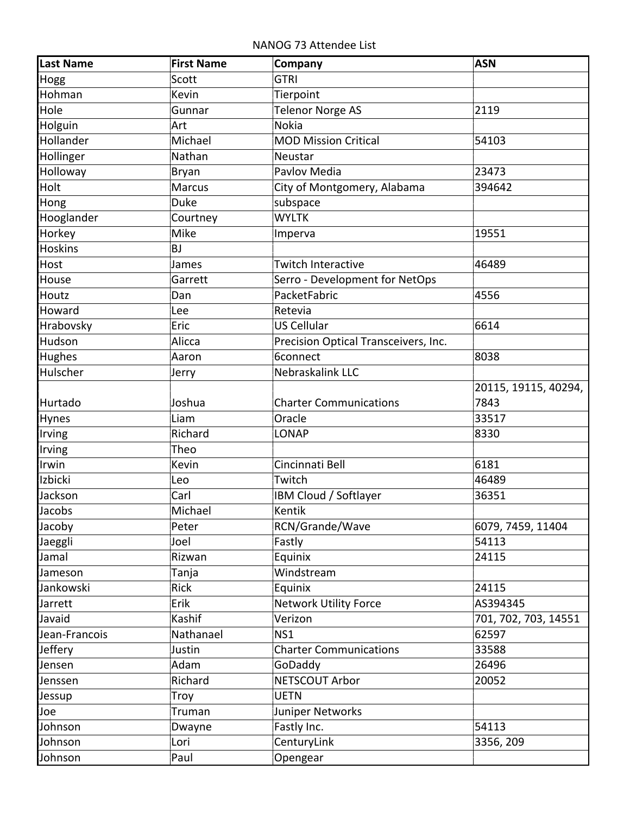NANOG 73 Attendee List

| Scott<br><b>GTRI</b><br>Hogg<br>Hohman<br>Kevin<br>Tierpoint<br>Hole<br>Telenor Norge AS<br>2119<br>Gunnar<br><b>Nokia</b><br>Holguin<br>Art<br>Hollander<br>Michael<br><b>MOD Mission Critical</b><br>54103<br>Hollinger<br>Nathan<br>Neustar<br>Holloway<br>Pavlov Media<br>23473<br>Bryan<br>Holt<br><b>Marcus</b><br>City of Montgomery, Alabama<br>394642 |  |
|----------------------------------------------------------------------------------------------------------------------------------------------------------------------------------------------------------------------------------------------------------------------------------------------------------------------------------------------------------------|--|
|                                                                                                                                                                                                                                                                                                                                                                |  |
|                                                                                                                                                                                                                                                                                                                                                                |  |
|                                                                                                                                                                                                                                                                                                                                                                |  |
|                                                                                                                                                                                                                                                                                                                                                                |  |
|                                                                                                                                                                                                                                                                                                                                                                |  |
|                                                                                                                                                                                                                                                                                                                                                                |  |
|                                                                                                                                                                                                                                                                                                                                                                |  |
|                                                                                                                                                                                                                                                                                                                                                                |  |
| <b>Duke</b><br>subspace<br>Hong                                                                                                                                                                                                                                                                                                                                |  |
| Hooglander<br><b>WYLTK</b><br>Courtney                                                                                                                                                                                                                                                                                                                         |  |
| Horkey<br>Mike<br>19551<br>Imperva                                                                                                                                                                                                                                                                                                                             |  |
| <b>Hoskins</b><br><b>BJ</b>                                                                                                                                                                                                                                                                                                                                    |  |
| Host<br>James<br>Twitch Interactive<br>46489                                                                                                                                                                                                                                                                                                                   |  |
| Serro - Development for NetOps<br>House<br>Garrett                                                                                                                                                                                                                                                                                                             |  |
| PacketFabric<br>Houtz<br>4556<br>Dan                                                                                                                                                                                                                                                                                                                           |  |
| Howard<br>Retevia<br>Lee                                                                                                                                                                                                                                                                                                                                       |  |
| Eric<br><b>US Cellular</b><br>6614<br>Hrabovsky                                                                                                                                                                                                                                                                                                                |  |
| Hudson<br>Alicca<br>Precision Optical Transceivers, Inc.                                                                                                                                                                                                                                                                                                       |  |
| <b>6connect</b><br>Hughes<br>8038<br>Aaron                                                                                                                                                                                                                                                                                                                     |  |
| Hulscher<br>Nebraskalink LLC<br>Jerry                                                                                                                                                                                                                                                                                                                          |  |
| 20115, 19115, 40294,                                                                                                                                                                                                                                                                                                                                           |  |
| Hurtado<br>Joshua<br><b>Charter Communications</b><br>7843                                                                                                                                                                                                                                                                                                     |  |
| Oracle<br>33517<br>Liam<br>Hynes                                                                                                                                                                                                                                                                                                                               |  |
| Richard<br>Irving<br><b>LONAP</b><br>8330                                                                                                                                                                                                                                                                                                                      |  |
| Theo<br>Irving                                                                                                                                                                                                                                                                                                                                                 |  |
| Irwin<br>Cincinnati Bell<br>6181<br>Kevin                                                                                                                                                                                                                                                                                                                      |  |
| Izbicki<br>Twitch<br>46489<br>Leo                                                                                                                                                                                                                                                                                                                              |  |
| Carl<br>IBM Cloud / Softlayer<br>Jackson<br>36351                                                                                                                                                                                                                                                                                                              |  |
| Kentik<br>Jacobs<br>Michael                                                                                                                                                                                                                                                                                                                                    |  |
| RCN/Grande/Wave<br>6079, 7459, 11404<br>Jacoby<br>Peter                                                                                                                                                                                                                                                                                                        |  |
| Joel<br>Fastly<br>54113<br>Jaeggli                                                                                                                                                                                                                                                                                                                             |  |
| Jamal<br>Rizwan<br>Equinix<br>24115                                                                                                                                                                                                                                                                                                                            |  |
| Windstream<br>Jameson<br>Tanja                                                                                                                                                                                                                                                                                                                                 |  |
| Rick<br>Equinix<br>Jankowski<br>24115                                                                                                                                                                                                                                                                                                                          |  |
| Erik<br><b>Network Utility Force</b><br>AS394345<br>Jarrett                                                                                                                                                                                                                                                                                                    |  |
| Kashif<br>Verizon<br>Javaid<br>701, 702, 703, 14551                                                                                                                                                                                                                                                                                                            |  |
| NS1<br>62597<br>Jean-Francois<br>Nathanael                                                                                                                                                                                                                                                                                                                     |  |
| Jeffery<br>Justin<br><b>Charter Communications</b><br>33588                                                                                                                                                                                                                                                                                                    |  |
| 26496<br>Adam<br>GoDaddy<br>Jensen                                                                                                                                                                                                                                                                                                                             |  |
| Richard<br>NETSCOUT Arbor<br>20052<br>Jenssen                                                                                                                                                                                                                                                                                                                  |  |
| <b>UETN</b><br>Troy<br>Jessup                                                                                                                                                                                                                                                                                                                                  |  |
| Juniper Networks<br>Truman<br>Joe                                                                                                                                                                                                                                                                                                                              |  |
| 54113<br>Fastly Inc.<br>Johnson<br>Dwayne                                                                                                                                                                                                                                                                                                                      |  |
| CenturyLink<br>Johnson<br>Lori<br>3356, 209                                                                                                                                                                                                                                                                                                                    |  |
| Paul<br>Opengear<br>Johnson                                                                                                                                                                                                                                                                                                                                    |  |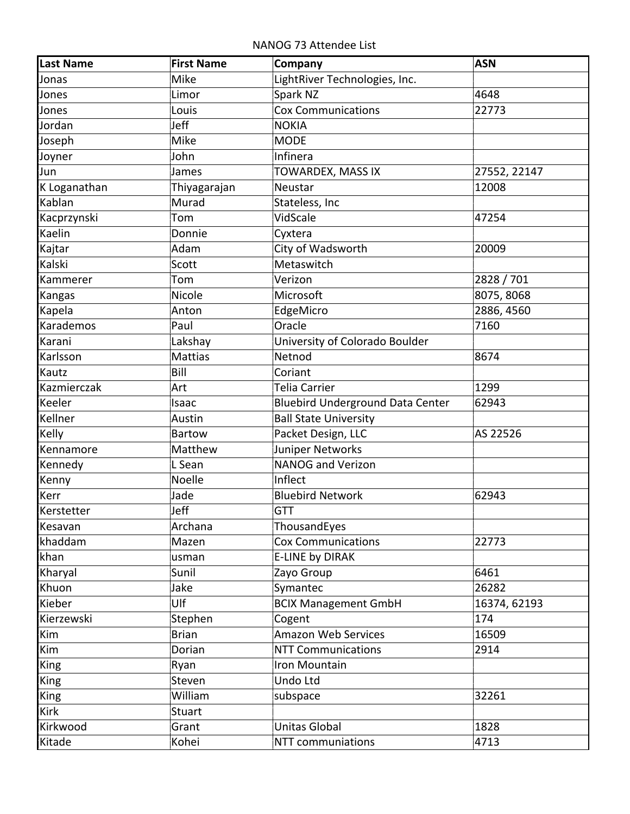NANOG 73 Attendee List

| <b>Last Name</b> | <b>First Name</b> | Company                                 | <b>ASN</b>   |
|------------------|-------------------|-----------------------------------------|--------------|
| Jonas            | Mike              | LightRiver Technologies, Inc.           |              |
| Jones            | Limor             | Spark NZ                                | 4648         |
| Jones            | Louis             | <b>Cox Communications</b>               | 22773        |
| Jordan           | Jeff              | <b>NOKIA</b>                            |              |
| Joseph           | Mike              | <b>MODE</b>                             |              |
| Joyner           | John              | Infinera                                |              |
| Jun              | James             | TOWARDEX, MASS IX                       | 27552, 22147 |
| K Loganathan     | Thiyagarajan      | <b>Neustar</b>                          | 12008        |
| Kablan           | Murad             | Stateless, Inc                          |              |
| Kacprzynski      | Tom               | VidScale                                | 47254        |
| Kaelin           | Donnie            | Cyxtera                                 |              |
| Kajtar           | Adam              | City of Wadsworth                       | 20009        |
| Kalski           | Scott             | Metaswitch                              |              |
| Kammerer         | Tom               | Verizon                                 | 2828 / 701   |
| Kangas           | Nicole            | Microsoft                               | 8075, 8068   |
| Kapela           | Anton             | EdgeMicro                               | 2886, 4560   |
| Karademos        | Paul              | Oracle                                  | 7160         |
| Karani           | Lakshay           | University of Colorado Boulder          |              |
| Karlsson         | <b>Mattias</b>    | Netnod                                  | 8674         |
| Kautz            | Bill              | Coriant                                 |              |
| Kazmierczak      | Art               | Telia Carrier                           | 1299         |
| Keeler           | Isaac             | <b>Bluebird Underground Data Center</b> | 62943        |
| Kellner          | Austin            | <b>Ball State University</b>            |              |
| Kelly            | <b>Bartow</b>     | Packet Design, LLC                      | AS 22526     |
| Kennamore        | Matthew           | Juniper Networks                        |              |
| Kennedy          | L Sean            | NANOG and Verizon                       |              |
| Kenny            | Noelle            | Inflect                                 |              |
| Kerr             | Jade              | <b>Bluebird Network</b>                 | 62943        |
| Kerstetter       | Jeff              | <b>GTT</b>                              |              |
| Kesavan          | Archana           | ThousandEyes                            |              |
| khaddam          | Mazen             | <b>Cox Communications</b>               | 22773        |
| khan             | usman             | <b>E-LINE by DIRAK</b>                  |              |
| Kharyal          | Sunil             | Zayo Group                              | 6461         |
| Khuon            | Jake              | Symantec                                | 26282        |
| Kieber           | Ulf               | <b>BCIX Management GmbH</b>             | 16374, 62193 |
| Kierzewski       | Stephen           | Cogent                                  | 174          |
| Kim              | <b>Brian</b>      | <b>Amazon Web Services</b>              | 16509        |
| Kim              | Dorian            | <b>NTT Communications</b>               | 2914         |
| <b>King</b>      | Ryan              | Iron Mountain                           |              |
| <b>King</b>      | Steven            | Undo Ltd                                |              |
| <b>King</b>      | William           | subspace                                | 32261        |
| Kirk             | <b>Stuart</b>     |                                         |              |
| Kirkwood         | Grant             | Unitas Global                           | 1828         |
| Kitade           | Kohei             | NTT communiations                       | 4713         |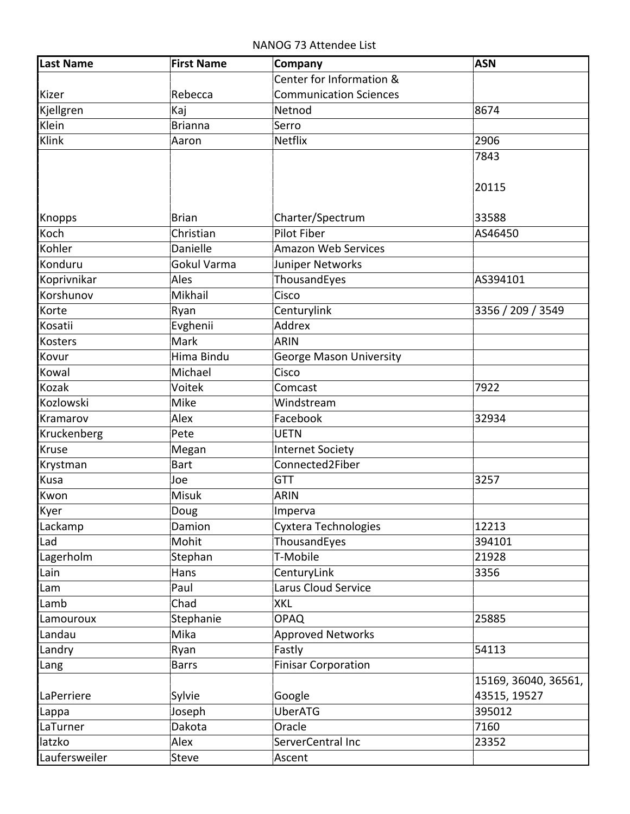NANOG 73 Attendee List

|                               | Center for Information &       |                      |
|-------------------------------|--------------------------------|----------------------|
| Rebecca<br>Kizer              | <b>Communication Sciences</b>  |                      |
| Kjellgren<br>Kaj              | Netnod                         | 8674                 |
| Klein<br><b>Brianna</b>       | Serro                          |                      |
| Klink<br>Aaron                | Netflix                        | 2906                 |
|                               |                                | 7843                 |
|                               |                                |                      |
|                               |                                | 20115                |
| <b>Knopps</b><br><b>Brian</b> | Charter/Spectrum               | 33588                |
| Koch<br>Christian             | <b>Pilot Fiber</b>             | AS46450              |
| Kohler<br>Danielle            | <b>Amazon Web Services</b>     |                      |
| Konduru<br>Gokul Varma        | Juniper Networks               |                      |
| Koprivnikar<br>Ales           | ThousandEyes                   | AS394101             |
| Korshunov<br>Mikhail          | Cisco                          |                      |
| Korte<br>Ryan                 | Centurylink                    | 3356 / 209 / 3549    |
| Kosatii<br>Evghenii           | Addrex                         |                      |
| Mark<br><b>Kosters</b>        | <b>ARIN</b>                    |                      |
| Hima Bindu<br>Kovur           | <b>George Mason University</b> |                      |
| Michael<br>Kowal              | Cisco                          |                      |
| Kozak<br>Voitek               | Comcast                        | 7922                 |
| Kozlowski<br>Mike             | Windstream                     |                      |
| Alex<br>Kramarov              | Facebook                       | 32934                |
| Kruckenberg<br>Pete           | <b>UETN</b>                    |                      |
| Kruse<br>Megan                | <b>Internet Society</b>        |                      |
| <b>Bart</b><br>Krystman       | Connected2Fiber                |                      |
| Kusa<br>Joe                   | <b>GTT</b>                     | 3257                 |
| Misuk<br>Kwon                 | <b>ARIN</b>                    |                      |
| Kyer<br>Doug                  | Imperva                        |                      |
| Damion<br>Lackamp             | Cyxtera Technologies           | 12213                |
| Mohit<br>Lad                  | ThousandEyes                   | 394101               |
| Stephan<br>Lagerholm          | T-Mobile                       | 21928                |
| Lain<br>Hans                  | CenturyLink                    | 3356                 |
| Paul<br>Lam                   | Larus Cloud Service            |                      |
| Chad<br>Lamb                  | <b>XKL</b>                     |                      |
| Stephanie<br>Lamouroux        | <b>OPAQ</b>                    | 25885                |
| Mika<br>Landau                | <b>Approved Networks</b>       |                      |
| Landry<br>Ryan                | Fastly                         | 54113                |
| <b>Barrs</b><br>Lang          | <b>Finisar Corporation</b>     |                      |
|                               |                                | 15169, 36040, 36561, |
| Sylvie<br>LaPerriere          | Google                         | 43515, 19527         |
| Joseph<br>Lappa               | <b>UberATG</b>                 | 395012               |
| Dakota<br>LaTurner            | Oracle                         | 7160                 |
| latzko<br>Alex                | ServerCentral Inc              | 23352                |
| Laufersweiler<br>Steve        | Ascent                         |                      |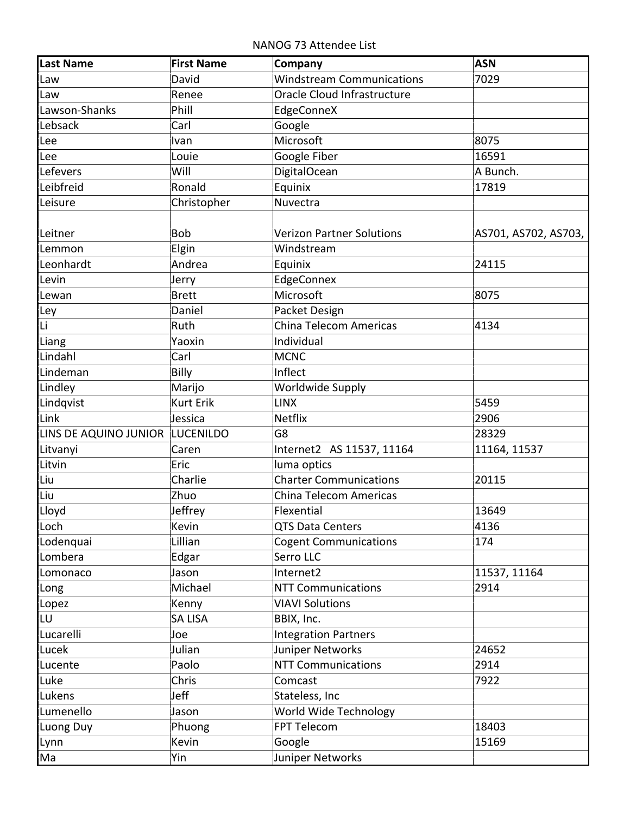NANOG 73 Attendee List

| <b>Last Name</b>                | <b>First Name</b> | Company                          | <b>ASN</b>           |
|---------------------------------|-------------------|----------------------------------|----------------------|
| Law                             | David             | <b>Windstream Communications</b> | 7029                 |
| Law                             | Renee             | Oracle Cloud Infrastructure      |                      |
| Lawson-Shanks                   | Phill             | EdgeConneX                       |                      |
| Lebsack                         | Carl              | Google                           |                      |
| Lee                             | Ivan              | Microsoft                        | 8075                 |
| Lee                             | Louie             | Google Fiber                     | 16591                |
| Lefevers                        | Will              | <b>DigitalOcean</b>              | A Bunch.             |
| Leibfreid                       | Ronald            | Equinix                          | 17819                |
| Leisure                         | Christopher       | Nuvectra                         |                      |
|                                 |                   |                                  |                      |
| Leitner                         | <b>Bob</b>        | <b>Verizon Partner Solutions</b> | AS701, AS702, AS703, |
| Lemmon                          | Elgin             | Windstream                       |                      |
| Leonhardt                       | Andrea            | Equinix                          | 24115                |
| Levin                           | Jerry             | EdgeConnex                       |                      |
| Lewan                           | <b>Brett</b>      | Microsoft                        | 8075                 |
| Ley                             | Daniel            | Packet Design                    |                      |
| Li                              | Ruth              | China Telecom Americas           | 4134                 |
| Liang                           | Yaoxin            | Individual                       |                      |
| Lindahl                         | Carl              | <b>MCNC</b>                      |                      |
| Lindeman                        | Billy             | Inflect                          |                      |
| Lindley                         | Marijo            | <b>Worldwide Supply</b>          |                      |
| Lindqvist                       | <b>Kurt Erik</b>  | <b>LINX</b>                      | 5459                 |
| Link                            | Jessica           | <b>Netflix</b>                   | 2906                 |
| LINS DE AQUINO JUNIOR LUCENILDO |                   | G8                               | 28329                |
| Litvanyi                        | Caren             | Internet2 AS 11537, 11164        | 11164, 11537         |
| Litvin                          | Eric              | luma optics                      |                      |
| Liu                             | Charlie           | <b>Charter Communications</b>    | 20115                |
| Liu                             | Zhuo              | China Telecom Americas           |                      |
| Lloyd                           | Jeffrey           | Flexential                       | 13649                |
| Loch                            | Kevin             | <b>QTS Data Centers</b>          | 4136                 |
| Lodenquai                       | Lillian           | <b>Cogent Communications</b>     | 174                  |
| Lombera                         | Edgar             | Serro LLC                        |                      |
| Lomonaco                        | Jason             | Internet2                        | 11537, 11164         |
| Long                            | Michael           | <b>NTT Communications</b>        | 2914                 |
| Lopez                           | Kenny             | <b>VIAVI Solutions</b>           |                      |
| LU                              | <b>SA LISA</b>    | BBIX, Inc.                       |                      |
| Lucarelli                       | Joe               | <b>Integration Partners</b>      |                      |
| Lucek                           | Julian            | Juniper Networks                 | 24652                |
| Lucente                         | Paolo             | <b>NTT Communications</b>        | 2914                 |
| Luke                            | Chris             | Comcast                          | 7922                 |
| Lukens                          | Jeff              | Stateless, Inc                   |                      |
| Lumenello                       | Jason             | World Wide Technology            |                      |
| Luong Duy                       | Phuong            | FPT Telecom                      | 18403                |
| Lynn                            | Kevin             | Google                           | 15169                |
| Ma                              | Yin               | Juniper Networks                 |                      |
|                                 |                   |                                  |                      |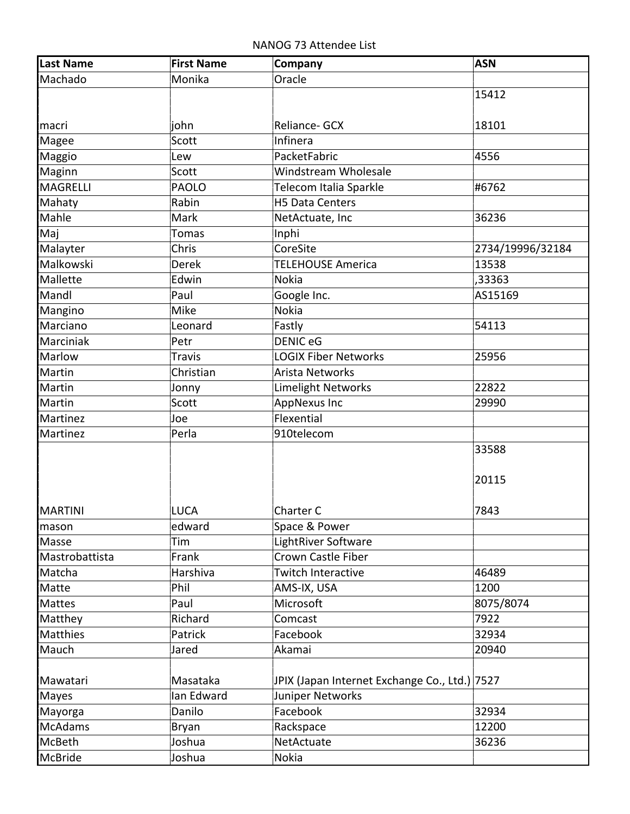| Last Name      | <b>First Name</b> | Company                                       | <b>ASN</b>       |
|----------------|-------------------|-----------------------------------------------|------------------|
| Machado        | Monika            | Oracle                                        |                  |
|                |                   |                                               | 15412            |
| <b>Imacri</b>  | john              | Reliance- GCX                                 | 18101            |
| Magee          | Scott             | Infinera                                      |                  |
| Maggio         | Lew               | PacketFabric                                  | 4556             |
| Maginn         | Scott             | Windstream Wholesale                          |                  |
| MAGRELLI       | <b>PAOLO</b>      | Telecom Italia Sparkle                        | #6762            |
| Mahaty         | Rabin             | <b>H5 Data Centers</b>                        |                  |
| Mahle          | Mark              | NetActuate, Inc                               | 36236            |
| Maj            | <b>Tomas</b>      | Inphi                                         |                  |
| Malayter       | Chris             | CoreSite                                      | 2734/19996/32184 |
| Malkowski      | <b>Derek</b>      | <b>TELEHOUSE America</b>                      | 13538            |
| Mallette       | Edwin             | <b>Nokia</b>                                  | ,33363           |
| Mandl          | Paul              | Google Inc.                                   | AS15169          |
| Mangino        | Mike              | <b>Nokia</b>                                  |                  |
| Marciano       | Leonard           | Fastly                                        | 54113            |
| Marciniak      | Petr              | <b>DENIC eG</b>                               |                  |
| Marlow         | <b>Travis</b>     | <b>LOGIX Fiber Networks</b>                   | 25956            |
| Martin         | Christian         | <b>Arista Networks</b>                        |                  |
| Martin         | Jonny             | Limelight Networks                            | 22822            |
| Martin         | Scott             | <b>AppNexus Inc</b>                           | 29990            |
| Martinez       | Joe               | Flexential                                    |                  |
| Martinez       | Perla             | 910telecom                                    |                  |
|                |                   |                                               | 33588            |
|                |                   |                                               |                  |
|                |                   |                                               | 20115            |
| MARTINI        | <b>LUCA</b>       | Charter C                                     | 7843             |
| mason          | edward            | Space & Power                                 |                  |
| Masse          | Tim               | LightRiver Software                           |                  |
| Mastrobattista | Frank             | Crown Castle Fiber                            |                  |
| Matcha         | Harshiva          | Twitch Interactive                            | 46489            |
| Matte          | Phil              | AMS-IX, USA                                   | 1200             |
| <b>Mattes</b>  | Paul              | Microsoft                                     | 8075/8074        |
| Matthey        | Richard           | Comcast                                       | 7922             |
| Matthies       | Patrick           | Facebook                                      | 32934            |
| Mauch          | Jared             | Akamai                                        | 20940            |
|                |                   |                                               |                  |
| Mawatari       | Masataka          | JPIX (Japan Internet Exchange Co., Ltd.) 7527 |                  |
| Mayes          | lan Edward        | Juniper Networks                              |                  |
| Mayorga        | Danilo            | Facebook                                      | 32934            |
| <b>McAdams</b> | Bryan             | Rackspace                                     | 12200            |
| McBeth         | Joshua            | NetActuate                                    | 36236            |
| McBride        | Joshua            | Nokia                                         |                  |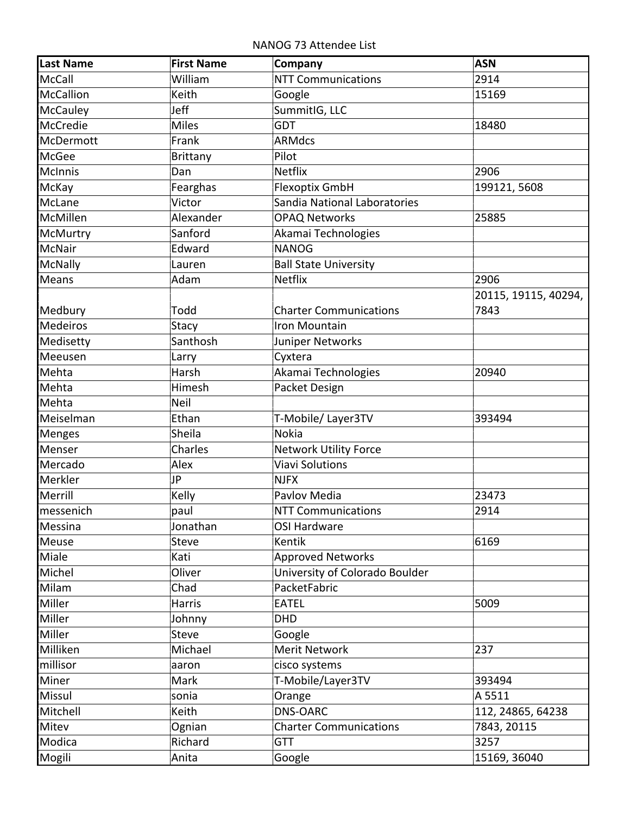NANOG 73 Attendee List

| <b>Last Name</b> | <b>First Name</b> | Company                        | <b>ASN</b>           |
|------------------|-------------------|--------------------------------|----------------------|
| <b>McCall</b>    | William           | <b>NTT Communications</b>      | 2914                 |
| <b>McCallion</b> | Keith             | Google                         | 15169                |
| McCauley         | Jeff              | SummitIG, LLC                  |                      |
| McCredie         | <b>Miles</b>      | <b>GDT</b>                     | 18480                |
| McDermott        | Frank             | <b>ARMdcs</b>                  |                      |
| McGee            | <b>Brittany</b>   | Pilot                          |                      |
| <b>McInnis</b>   | Dan               | <b>Netflix</b>                 | 2906                 |
| McKay            | Fearghas          | Flexoptix GmbH                 | 199121, 5608         |
| McLane           | Victor            | Sandia National Laboratories   |                      |
| McMillen         | Alexander         | <b>OPAQ Networks</b>           | 25885                |
| McMurtry         | Sanford           | Akamai Technologies            |                      |
| McNair           | Edward            | <b>NANOG</b>                   |                      |
| <b>McNally</b>   | Lauren            | <b>Ball State University</b>   |                      |
| Means            | Adam              | <b>Netflix</b>                 | 2906                 |
|                  |                   |                                | 20115, 19115, 40294, |
| Medbury          | Todd              | <b>Charter Communications</b>  | 7843                 |
| <b>Medeiros</b>  | <b>Stacy</b>      | Iron Mountain                  |                      |
| Medisetty        | Santhosh          | Juniper Networks               |                      |
| Meeusen          | Larry             | Cyxtera                        |                      |
| Mehta            | Harsh             | Akamai Technologies            | 20940                |
| Mehta            | Himesh            | Packet Design                  |                      |
| Mehta            | <b>Neil</b>       |                                |                      |
| Meiselman        | Ethan             | T-Mobile/Layer3TV              | 393494               |
| Menges           | Sheila            | <b>Nokia</b>                   |                      |
| Menser           | Charles           | <b>Network Utility Force</b>   |                      |
| Mercado          | Alex              | <b>Viavi Solutions</b>         |                      |
| Merkler          | JP                | <b>NJFX</b>                    |                      |
| Merrill          | Kelly             | Pavlov Media                   | 23473                |
| messenich        | paul              | <b>NTT Communications</b>      | 2914                 |
| Messina          | Jonathan          | <b>OSI Hardware</b>            |                      |
| Meuse            | <b>Steve</b>      | Kentik                         | 6169                 |
| Miale            | Kati              | <b>Approved Networks</b>       |                      |
| Michel           | Oliver            | University of Colorado Boulder |                      |
| Milam            | Chad              | PacketFabric                   |                      |
| Miller           | Harris            | <b>EATEL</b>                   | 5009                 |
| Miller           | Johnny            | <b>DHD</b>                     |                      |
| Miller           | <b>Steve</b>      | Google                         |                      |
| Milliken         | Michael           | Merit Network                  | 237                  |
| millisor         | aaron             | cisco systems                  |                      |
| Miner            | Mark              | T-Mobile/Layer3TV              | 393494               |
| Missul           | sonia             | Orange                         | A 5511               |
| Mitchell         | Keith             | <b>DNS-OARC</b>                | 112, 24865, 64238    |
| Mitev            | Ognian            | <b>Charter Communications</b>  | 7843, 20115          |
| Modica           | Richard           | <b>GTT</b>                     | 3257                 |
| Mogili           | Anita             | Google                         | 15169, 36040         |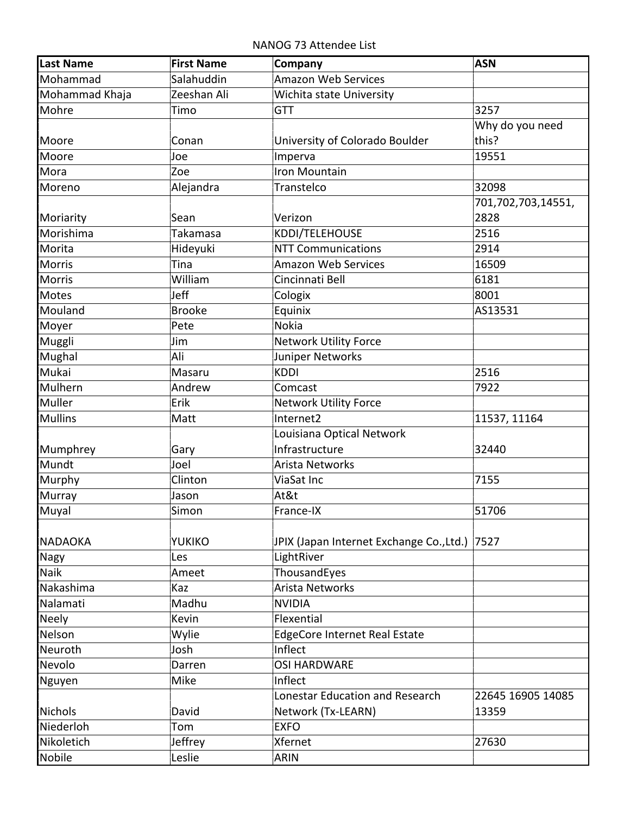| <b>Last Name</b> | <b>First Name</b> | Company                                       | <b>ASN</b>         |
|------------------|-------------------|-----------------------------------------------|--------------------|
| Mohammad         | Salahuddin        | Amazon Web Services                           |                    |
| Mohammad Khaja   | Zeeshan Ali       | Wichita state University                      |                    |
| Mohre            | Timo              | <b>GTT</b>                                    | 3257               |
|                  |                   |                                               | Why do you need    |
| Moore            | Conan             | University of Colorado Boulder                | this?              |
| Moore            | Joe               | Imperva                                       | 19551              |
| Mora             | Zoe               | Iron Mountain                                 |                    |
| Moreno           | Alejandra         | Transtelco                                    | 32098              |
|                  |                   |                                               | 701,702,703,14551, |
| Moriarity        | Sean              | Verizon                                       | 2828               |
| Morishima        | Takamasa          | KDDI/TELEHOUSE                                | 2516               |
| Morita           | Hideyuki          | <b>NTT Communications</b>                     | 2914               |
| Morris           | Tina              | <b>Amazon Web Services</b>                    | 16509              |
| Morris           | William           | Cincinnati Bell                               | 6181               |
| Motes            | Jeff              | Cologix                                       | 8001               |
| Mouland          | <b>Brooke</b>     | Equinix                                       | AS13531            |
| Moyer            | Pete              | <b>Nokia</b>                                  |                    |
| Muggli           | Jim               | Network Utility Force                         |                    |
| Mughal           | Ali               | Juniper Networks                              |                    |
| Mukai            | Masaru            | <b>KDDI</b>                                   | 2516               |
| Mulhern          | Andrew            | Comcast                                       | 7922               |
| Muller           | Erik              | Network Utility Force                         |                    |
| Mullins          | Matt              | Internet2                                     | 11537, 11164       |
|                  |                   | Louisiana Optical Network                     |                    |
| Mumphrey         | Gary              | Infrastructure                                | 32440              |
| Mundt            | Joel              | Arista Networks                               |                    |
| Murphy           | Clinton           | ViaSat Inc                                    | 7155               |
| Murray           | Jason             | At&t                                          |                    |
| Muyal            | Simon             | France-IX                                     | 51706              |
|                  |                   |                                               |                    |
| <b>NADAOKA</b>   | <b>YUKIKO</b>     | JPIX (Japan Internet Exchange Co., Ltd.) 7527 |                    |
| <b>Nagy</b>      | Les               | LightRiver                                    |                    |
| Naik             | Ameet             | ThousandEyes                                  |                    |
| Nakashima        | Kaz               | Arista Networks                               |                    |
| Nalamati         | Madhu             | <b>NVIDIA</b>                                 |                    |
| <b>Neely</b>     | Kevin             | Flexential                                    |                    |
| Nelson           | Wylie             | <b>EdgeCore Internet Real Estate</b>          |                    |
| Neuroth          | Josh              | Inflect                                       |                    |
| Nevolo           | Darren            | <b>OSI HARDWARE</b>                           |                    |
| Nguyen           | Mike              | Inflect                                       |                    |
|                  |                   | Lonestar Education and Research               | 22645 16905 14085  |
| Nichols          | David             | Network (Tx-LEARN)                            | 13359              |
| Niederloh        | Tom               | <b>EXFO</b>                                   |                    |
| Nikoletich       | Jeffrey           | Xfernet                                       | 27630              |
| Nobile           | Leslie            | ARIN                                          |                    |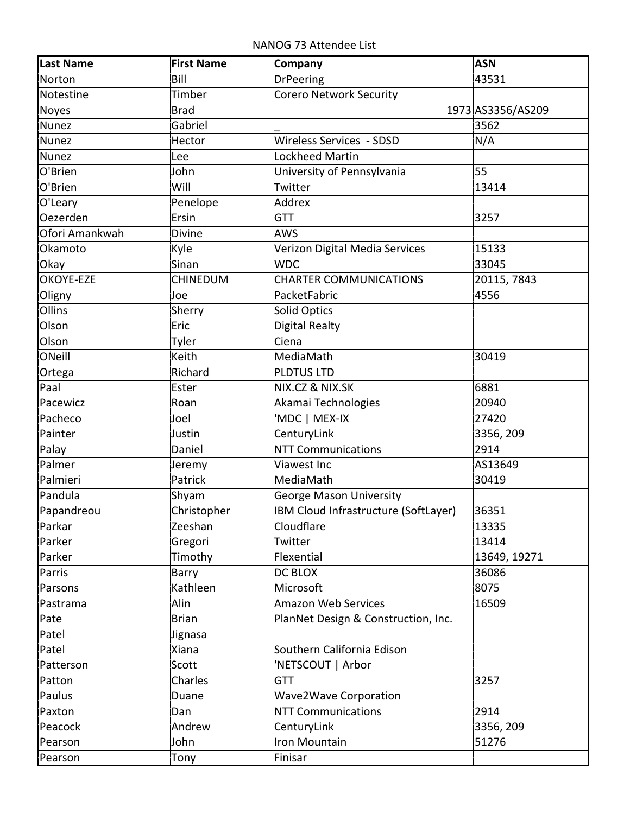NANOG 73 Attendee List

| <b>Last Name</b> | <b>First Name</b> | Company                              | <b>ASN</b>        |
|------------------|-------------------|--------------------------------------|-------------------|
| Norton           | Bill              | <b>DrPeering</b>                     | 43531             |
| Notestine        | Timber            | <b>Corero Network Security</b>       |                   |
| Noyes            | <b>Brad</b>       |                                      | 1973 AS3356/AS209 |
| Nunez            | Gabriel           |                                      | 3562              |
| <b>Nunez</b>     | Hector            | Wireless Services - SDSD             | N/A               |
| Nunez            | Lee               | Lockheed Martin                      |                   |
| O'Brien          | John              | University of Pennsylvania           | 55                |
| O'Brien          | Will              | Twitter                              | 13414             |
| O'Leary          | Penelope          | Addrex                               |                   |
| Oezerden         | Ersin             | <b>GTT</b>                           | 3257              |
| Ofori Amankwah   | <b>Divine</b>     | <b>AWS</b>                           |                   |
| Okamoto          | Kyle              | Verizon Digital Media Services       | 15133             |
| Okay             | Sinan             | <b>WDC</b>                           | 33045             |
| OKOYE-EZE        | <b>CHINEDUM</b>   | <b>CHARTER COMMUNICATIONS</b>        | 20115, 7843       |
| Oligny           | Joe               | PacketFabric                         | 4556              |
| Ollins           | Sherry            | Solid Optics                         |                   |
| Olson            | Eric              | Digital Realty                       |                   |
| Olson            | Tyler             | Ciena                                |                   |
| ONeill           | Keith             | MediaMath                            | 30419             |
| Ortega           | Richard           | PLDTUS LTD                           |                   |
| Paal             | Ester             | NIX.CZ & NIX.SK                      | 6881              |
| Pacewicz         | Roan              | Akamai Technologies                  | 20940             |
| Pacheco          | Joel              | 'MDC   MEX-IX                        | 27420             |
| Painter          | Justin            | CenturyLink                          | 3356, 209         |
| Palay            | Daniel            | <b>NTT Communications</b>            | 2914              |
| Palmer           | Jeremy            | Viawest Inc                          | AS13649           |
| Palmieri         | Patrick           | MediaMath                            | 30419             |
| Pandula          | Shyam             | George Mason University              |                   |
| Papandreou       | Christopher       | IBM Cloud Infrastructure (SoftLayer) | 36351             |
| Parkar           | Zeeshan           | Cloudflare                           | 13335             |
| Parker           | Gregori           | Twitter                              | 13414             |
| Parker           | Timothy           | Flexential                           | 13649, 19271      |
| Parris           | Barry             | DC BLOX                              | 36086             |
| Parsons          | Kathleen          | Microsoft                            | 8075              |
| Pastrama         | Alin              | <b>Amazon Web Services</b>           | 16509             |
| Pate             | <b>Brian</b>      | PlanNet Design & Construction, Inc.  |                   |
| Patel            | Jignasa           |                                      |                   |
| Patel            | Xiana             | Southern California Edison           |                   |
| Patterson        | Scott             | 'NETSCOUT   Arbor                    |                   |
| Patton           | Charles           | <b>GTT</b>                           | 3257              |
| Paulus           | Duane             | <b>Wave2Wave Corporation</b>         |                   |
| Paxton           | Dan               | <b>NTT Communications</b>            | 2914              |
| Peacock          | Andrew            | CenturyLink                          | 3356, 209         |
| Pearson          | John              | Iron Mountain                        | 51276             |
| Pearson          | Tony              | Finisar                              |                   |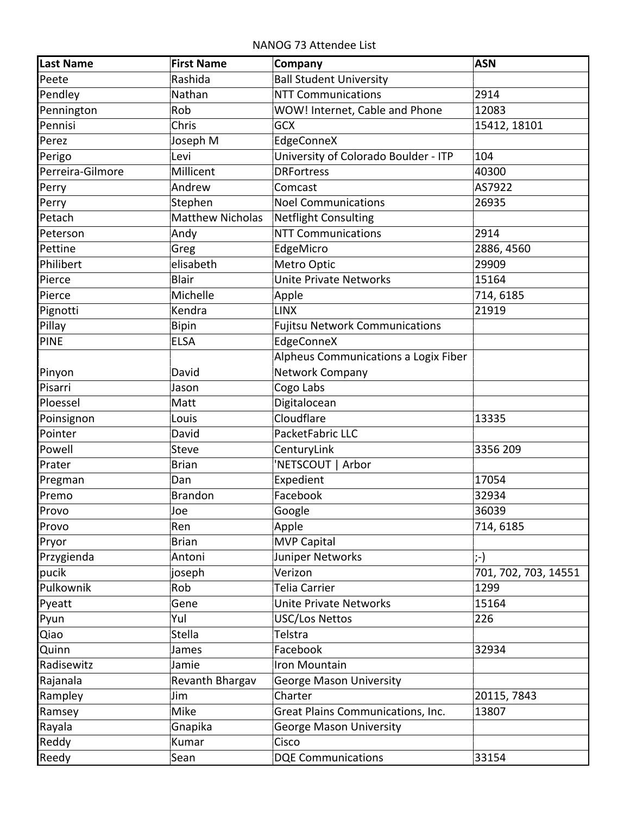NANOG 73 Attendee List

| <b>Ball Student University</b><br>Rashida<br>Peete<br><b>NTT Communications</b><br>Pendley<br>Nathan<br>2914 |  |
|--------------------------------------------------------------------------------------------------------------|--|
|                                                                                                              |  |
|                                                                                                              |  |
| Pennington<br>Rob<br>WOW! Internet, Cable and Phone<br>12083                                                 |  |
| Pennisi<br>Chris<br>15412, 18101<br><b>GCX</b>                                                               |  |
| EdgeConneX<br>Perez<br>Joseph M                                                                              |  |
| University of Colorado Boulder - ITP<br>104<br>Perigo<br>Levi                                                |  |
| Perreira-Gilmore<br>Millicent<br><b>DRFortress</b><br>40300                                                  |  |
| Andrew<br>AS7922<br>Comcast<br>Perry                                                                         |  |
| Stephen<br><b>Noel Communications</b><br>Perry<br>26935                                                      |  |
| <b>Matthew Nicholas</b><br>Netflight Consulting<br>Petach                                                    |  |
| <b>NTT Communications</b><br>2914<br>Peterson<br>Andy                                                        |  |
| Pettine<br>EdgeMicro<br>2886, 4560<br>Greg                                                                   |  |
| Philibert<br>elisabeth<br>Metro Optic<br>29909                                                               |  |
| <b>Unite Private Networks</b><br>Pierce<br><b>Blair</b><br>15164                                             |  |
| Michelle<br>Pierce<br>Apple<br>714, 6185                                                                     |  |
| Kendra<br>Pignotti<br><b>LINX</b><br>21919                                                                   |  |
| Pillay<br><b>Bipin</b><br><b>Fujitsu Network Communications</b>                                              |  |
| EdgeConneX<br><b>PINE</b><br><b>ELSA</b>                                                                     |  |
| Alpheus Communications a Logix Fiber                                                                         |  |
| Network Company<br>Pinyon<br>David                                                                           |  |
| Cogo Labs<br>Pisarri<br>Jason                                                                                |  |
| Digitalocean<br>Ploessel<br>Matt                                                                             |  |
| Cloudflare<br>Poinsignon<br>Louis<br>13335                                                                   |  |
| PacketFabric LLC<br>Pointer<br>David                                                                         |  |
| Powell<br>CenturyLink<br>3356 209<br><b>Steve</b>                                                            |  |
| 'NETSCOUT   Arbor<br><b>Brian</b><br>Prater                                                                  |  |
| Expedient<br>17054<br>Pregman<br>Dan                                                                         |  |
| Facebook<br>32934<br>Premo<br><b>Brandon</b>                                                                 |  |
| 36039<br>Provo<br>Google<br>Joe                                                                              |  |
| Apple<br>714, 6185<br>Provo<br>Ren                                                                           |  |
| <b>MVP Capital</b><br>Pryor<br><b>Brian</b>                                                                  |  |
| Juniper Networks<br>Przygienda<br>Antoni<br>;-)                                                              |  |
| pucik<br>Verizon<br>701, 702, 703, 14551<br>joseph                                                           |  |
| Pulkownik<br>Rob<br><b>Telia Carrier</b><br>1299                                                             |  |
| <b>Unite Private Networks</b><br>15164<br>Pyeatt<br>Gene                                                     |  |
| Yul<br>226<br><b>USC/Los Nettos</b><br>Pyun                                                                  |  |
| <b>Stella</b><br>Telstra<br>Qiao                                                                             |  |
| Facebook<br>32934<br>Quinn<br>James                                                                          |  |
| Radisewitz<br>Jamie<br>Iron Mountain                                                                         |  |
| Rajanala<br>Revanth Bhargav<br><b>George Mason University</b>                                                |  |
| Charter<br>Rampley<br>20115, 7843<br>Jim                                                                     |  |
| Mike<br>13807<br>Ramsey<br>Great Plains Communications, Inc.                                                 |  |
| Rayala<br><b>George Mason University</b><br>Gnapika                                                          |  |
| Cisco<br>Reddy<br>Kumar                                                                                      |  |
| Reedy<br>Sean<br><b>DQE Communications</b><br>33154                                                          |  |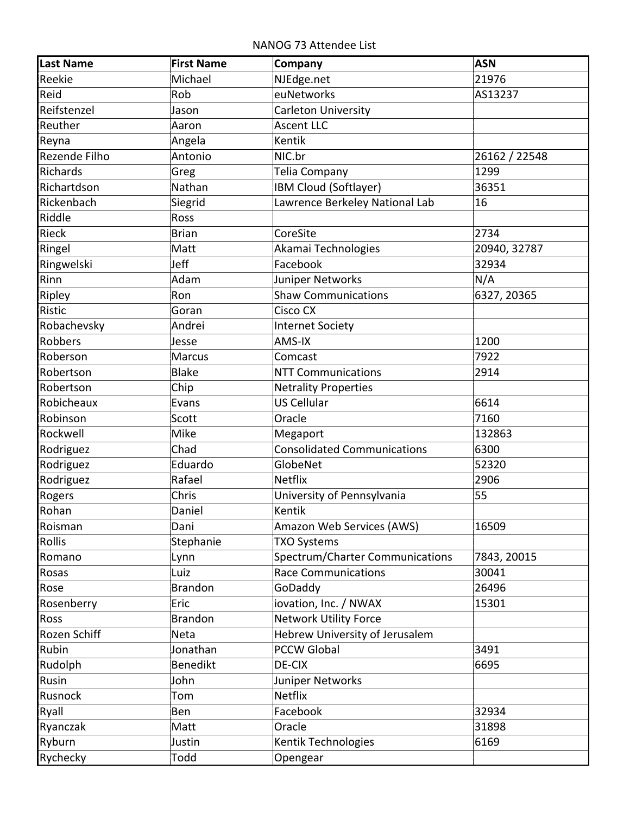NANOG 73 Attendee List

| <b>Last Name</b> | <b>First Name</b> | Company                            | <b>ASN</b>    |
|------------------|-------------------|------------------------------------|---------------|
| Reekie           | Michael           | NJEdge.net                         | 21976         |
| Reid             | Rob               | euNetworks                         | AS13237       |
| Reifstenzel      | Jason             | <b>Carleton University</b>         |               |
| Reuther          | Aaron             | <b>Ascent LLC</b>                  |               |
| Reyna            | Angela            | Kentik                             |               |
| Rezende Filho    | Antonio           | NIC.br                             | 26162 / 22548 |
| Richards         | Greg              | Telia Company                      | 1299          |
| Richartdson      | Nathan            | IBM Cloud (Softlayer)              | 36351         |
| Rickenbach       | Siegrid           | Lawrence Berkeley National Lab     | 16            |
| Riddle           | Ross              |                                    |               |
| <b>Rieck</b>     | <b>Brian</b>      | CoreSite                           | 2734          |
| Ringel           | Matt              | Akamai Technologies                | 20940, 32787  |
| Ringwelski       | Jeff              | Facebook                           | 32934         |
| Rinn             | Adam              | Juniper Networks                   | N/A           |
| Ripley           | Ron               | <b>Shaw Communications</b>         | 6327, 20365   |
| Ristic           | Goran             | Cisco CX                           |               |
| Robachevsky      | Andrei            | <b>Internet Society</b>            |               |
| Robbers          | Jesse             | AMS-IX                             | 1200          |
| Roberson         | <b>Marcus</b>     | Comcast                            | 7922          |
| Robertson        | <b>Blake</b>      | <b>NTT Communications</b>          | 2914          |
| Robertson        | Chip              | <b>Netrality Properties</b>        |               |
| Robicheaux       | Evans             | <b>US Cellular</b>                 | 6614          |
| Robinson         | Scott             | Oracle                             | 7160          |
| Rockwell         | Mike              | Megaport                           | 132863        |
| Rodriguez        | Chad              | <b>Consolidated Communications</b> | 6300          |
| Rodriguez        | Eduardo           | GlobeNet                           | 52320         |
| Rodriguez        | Rafael            | <b>Netflix</b>                     | 2906          |
| Rogers           | Chris             | University of Pennsylvania         | 55            |
| Rohan            | Daniel            | Kentik                             |               |
| Roisman          | Dani              | Amazon Web Services (AWS)          | 16509         |
| Rollis           | Stephanie         | <b>TXO Systems</b>                 |               |
| Romano           | Lynn              | Spectrum/Charter Communications    | 7843, 20015   |
| Rosas            | Luiz              | <b>Race Communications</b>         | 30041         |
| Rose             | <b>Brandon</b>    | GoDaddy                            | 26496         |
| Rosenberry       | Eric              | iovation, Inc. / NWAX              | 15301         |
| Ross             | <b>Brandon</b>    | <b>Network Utility Force</b>       |               |
| Rozen Schiff     | Neta              | Hebrew University of Jerusalem     |               |
| Rubin            | Jonathan          | <b>PCCW Global</b>                 | 3491          |
| Rudolph          | Benedikt          | DE-CIX                             | 6695          |
| Rusin            | John              | Juniper Networks                   |               |
| Rusnock          | Tom               | <b>Netflix</b>                     |               |
| Ryall            | Ben               | Facebook                           | 32934         |
| Ryanczak         | Matt              | Oracle                             | 31898         |
| Ryburn           | Justin            | Kentik Technologies                | 6169          |
| Rychecky         | Todd              | Opengear                           |               |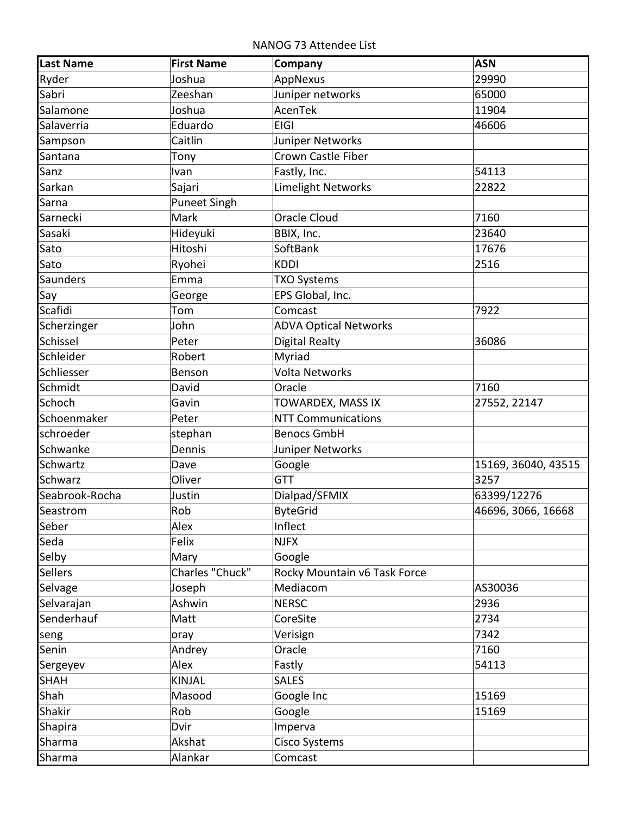NANOG 73 Attendee List

| <b>Last Name</b> | <b>First Name</b>   | Company                      | <b>ASN</b>          |
|------------------|---------------------|------------------------------|---------------------|
| Ryder            | Joshua              | AppNexus                     | 29990               |
| Sabri            | Zeeshan             | Juniper networks             | 65000               |
| Salamone         | Joshua              | AcenTek                      | 11904               |
| Salaverria       | Eduardo             | <b>EIGI</b>                  | 46606               |
| Sampson          | Caitlin             | Juniper Networks             |                     |
| Santana          | Tony                | Crown Castle Fiber           |                     |
| Sanz             | Ivan                | Fastly, Inc.                 | 54113               |
| Sarkan           | Sajari              | <b>Limelight Networks</b>    | 22822               |
| Sarna            | <b>Puneet Singh</b> |                              |                     |
| Sarnecki         | Mark                | <b>Oracle Cloud</b>          | 7160                |
| Sasaki           | Hideyuki            | BBIX, Inc.                   | 23640               |
| Sato             | Hitoshi             | SoftBank                     | 17676               |
| Sato             | Ryohei              | <b>KDDI</b>                  | 2516                |
| Saunders         | Emma                | <b>TXO Systems</b>           |                     |
| Say              | George              | EPS Global, Inc.             |                     |
| Scafidi          | Tom                 | Comcast                      | 7922                |
| Scherzinger      | John                | <b>ADVA Optical Networks</b> |                     |
| Schissel         | Peter               | <b>Digital Realty</b>        | 36086               |
| Schleider        | Robert              | Myriad                       |                     |
| Schliesser       | Benson              | Volta Networks               |                     |
| Schmidt          | David               | Oracle                       | 7160                |
| Schoch           | Gavin               | TOWARDEX, MASS IX            | 27552, 22147        |
| Schoenmaker      | Peter               | <b>NTT Communications</b>    |                     |
| schroeder        | stephan             | <b>Benocs GmbH</b>           |                     |
| Schwanke         | Dennis              | Juniper Networks             |                     |
| Schwartz         | Dave                | Google                       | 15169, 36040, 43515 |
| Schwarz          | Oliver              | <b>GTT</b>                   | 3257                |
| Seabrook-Rocha   | Justin              | Dialpad/SFMIX                | 63399/12276         |
| Seastrom         | Rob                 | <b>ByteGrid</b>              | 46696, 3066, 16668  |
| Seber            | Alex                | Inflect                      |                     |
| Seda             | Felix               | <b>NJFX</b>                  |                     |
| Selby            | Mary                | Google                       |                     |
| <b>Sellers</b>   | Charles "Chuck"     | Rocky Mountain v6 Task Force |                     |
| Selvage          | Joseph              | Mediacom                     | AS30036             |
| Selvarajan       | Ashwin              | <b>NERSC</b>                 | 2936                |
| Senderhauf       | Matt                | CoreSite                     | 2734                |
| seng             | oray                | Verisign                     | 7342                |
| Senin            | Andrey              | Oracle                       | 7160                |
| Sergeyev         | Alex                | Fastly                       | 54113               |
| <b>SHAH</b>      | <b>KINJAL</b>       | <b>SALES</b>                 |                     |
| Shah             | Masood              | Google Inc                   | 15169               |
| Shakir           | Rob                 | Google                       | 15169               |
| Shapira          | Dvir                | Imperva                      |                     |
| Sharma           | Akshat              | Cisco Systems                |                     |
| Sharma           | Alankar             | Comcast                      |                     |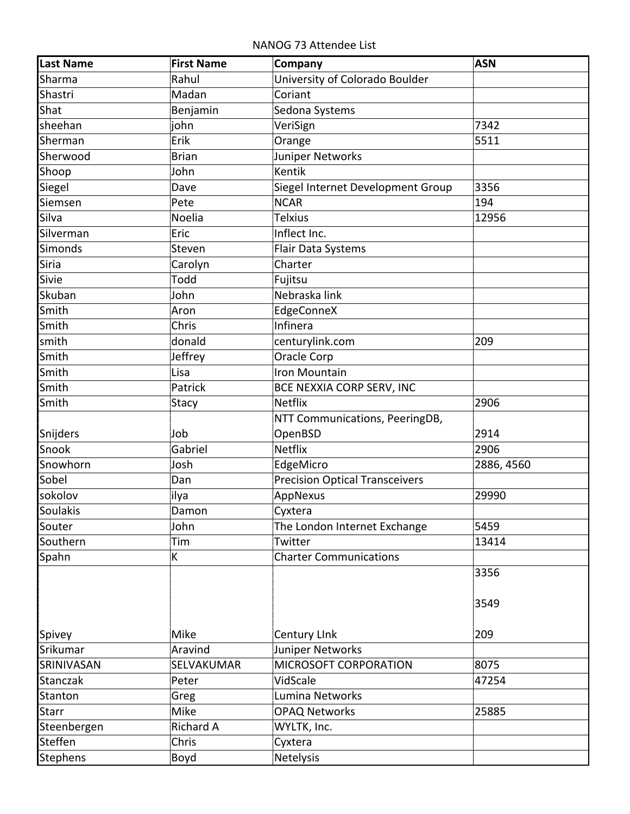NANOG 73 Attendee List

| University of Colorado Boulder<br>Rahul<br>Sharma<br>Shastri<br>Madan<br>Coriant<br>Shat<br>Sedona Systems<br>Benjamin<br>7342<br>sheehan<br>john<br>VeriSign<br>Erik<br>5511<br>Sherman<br>Orange<br>Juniper Networks<br>Sherwood<br><b>Brian</b><br>Kentik<br>Shoop<br>John<br>3356<br>Siegel Internet Development Group<br>Siegel<br>Dave<br><b>NCAR</b><br>194<br>Siemsen<br>Pete<br>Silva<br>Noelia<br><b>Telxius</b><br>12956<br>Inflect Inc.<br>Silverman<br>Eric<br>Simonds<br>Steven<br>Flair Data Systems<br>Siria<br>Charter<br>Carolyn<br>Todd<br>Sivie<br>Fujitsu<br>Nebraska link<br>Skuban<br>John<br>Smith<br>EdgeConneX<br>Aron<br>Smith<br>Infinera<br>Chris<br>smith<br>donald<br>centurylink.com<br>209<br>Smith<br>Oracle Corp<br>Jeffrey<br>Smith<br>Iron Mountain<br>Lisa<br>Smith<br>Patrick<br>BCE NEXXIA CORP SERV, INC | <b>Last Name</b> | <b>First Name</b> | Company | <b>ASN</b> |
|---------------------------------------------------------------------------------------------------------------------------------------------------------------------------------------------------------------------------------------------------------------------------------------------------------------------------------------------------------------------------------------------------------------------------------------------------------------------------------------------------------------------------------------------------------------------------------------------------------------------------------------------------------------------------------------------------------------------------------------------------------------------------------------------------------------------------------------------------|------------------|-------------------|---------|------------|
|                                                                                                                                                                                                                                                                                                                                                                                                                                                                                                                                                                                                                                                                                                                                                                                                                                                   |                  |                   |         |            |
|                                                                                                                                                                                                                                                                                                                                                                                                                                                                                                                                                                                                                                                                                                                                                                                                                                                   |                  |                   |         |            |
|                                                                                                                                                                                                                                                                                                                                                                                                                                                                                                                                                                                                                                                                                                                                                                                                                                                   |                  |                   |         |            |
|                                                                                                                                                                                                                                                                                                                                                                                                                                                                                                                                                                                                                                                                                                                                                                                                                                                   |                  |                   |         |            |
|                                                                                                                                                                                                                                                                                                                                                                                                                                                                                                                                                                                                                                                                                                                                                                                                                                                   |                  |                   |         |            |
|                                                                                                                                                                                                                                                                                                                                                                                                                                                                                                                                                                                                                                                                                                                                                                                                                                                   |                  |                   |         |            |
|                                                                                                                                                                                                                                                                                                                                                                                                                                                                                                                                                                                                                                                                                                                                                                                                                                                   |                  |                   |         |            |
|                                                                                                                                                                                                                                                                                                                                                                                                                                                                                                                                                                                                                                                                                                                                                                                                                                                   |                  |                   |         |            |
|                                                                                                                                                                                                                                                                                                                                                                                                                                                                                                                                                                                                                                                                                                                                                                                                                                                   |                  |                   |         |            |
|                                                                                                                                                                                                                                                                                                                                                                                                                                                                                                                                                                                                                                                                                                                                                                                                                                                   |                  |                   |         |            |
|                                                                                                                                                                                                                                                                                                                                                                                                                                                                                                                                                                                                                                                                                                                                                                                                                                                   |                  |                   |         |            |
|                                                                                                                                                                                                                                                                                                                                                                                                                                                                                                                                                                                                                                                                                                                                                                                                                                                   |                  |                   |         |            |
|                                                                                                                                                                                                                                                                                                                                                                                                                                                                                                                                                                                                                                                                                                                                                                                                                                                   |                  |                   |         |            |
|                                                                                                                                                                                                                                                                                                                                                                                                                                                                                                                                                                                                                                                                                                                                                                                                                                                   |                  |                   |         |            |
|                                                                                                                                                                                                                                                                                                                                                                                                                                                                                                                                                                                                                                                                                                                                                                                                                                                   |                  |                   |         |            |
|                                                                                                                                                                                                                                                                                                                                                                                                                                                                                                                                                                                                                                                                                                                                                                                                                                                   |                  |                   |         |            |
|                                                                                                                                                                                                                                                                                                                                                                                                                                                                                                                                                                                                                                                                                                                                                                                                                                                   |                  |                   |         |            |
|                                                                                                                                                                                                                                                                                                                                                                                                                                                                                                                                                                                                                                                                                                                                                                                                                                                   |                  |                   |         |            |
|                                                                                                                                                                                                                                                                                                                                                                                                                                                                                                                                                                                                                                                                                                                                                                                                                                                   |                  |                   |         |            |
|                                                                                                                                                                                                                                                                                                                                                                                                                                                                                                                                                                                                                                                                                                                                                                                                                                                   |                  |                   |         |            |
|                                                                                                                                                                                                                                                                                                                                                                                                                                                                                                                                                                                                                                                                                                                                                                                                                                                   |                  |                   |         |            |
| <b>Netflix</b><br>Smith<br>2906<br>Stacy                                                                                                                                                                                                                                                                                                                                                                                                                                                                                                                                                                                                                                                                                                                                                                                                          |                  |                   |         |            |
| NTT Communications, PeeringDB,                                                                                                                                                                                                                                                                                                                                                                                                                                                                                                                                                                                                                                                                                                                                                                                                                    |                  |                   |         |            |
| 2914<br>Snijders<br>Job<br>OpenBSD                                                                                                                                                                                                                                                                                                                                                                                                                                                                                                                                                                                                                                                                                                                                                                                                                |                  |                   |         |            |
| <b>Netflix</b><br>2906<br>Snook<br>Gabriel                                                                                                                                                                                                                                                                                                                                                                                                                                                                                                                                                                                                                                                                                                                                                                                                        |                  |                   |         |            |
| Snowhorn<br>Josh<br>EdgeMicro<br>2886, 4560                                                                                                                                                                                                                                                                                                                                                                                                                                                                                                                                                                                                                                                                                                                                                                                                       |                  |                   |         |            |
| Sobel<br><b>Precision Optical Transceivers</b><br>Dan                                                                                                                                                                                                                                                                                                                                                                                                                                                                                                                                                                                                                                                                                                                                                                                             |                  |                   |         |            |
| AppNexus<br>sokolov<br>29990<br>ilya                                                                                                                                                                                                                                                                                                                                                                                                                                                                                                                                                                                                                                                                                                                                                                                                              |                  |                   |         |            |
| Soulakis<br>Damon<br>Cyxtera                                                                                                                                                                                                                                                                                                                                                                                                                                                                                                                                                                                                                                                                                                                                                                                                                      |                  |                   |         |            |
| 5459<br>John<br>The London Internet Exchange<br>Souter                                                                                                                                                                                                                                                                                                                                                                                                                                                                                                                                                                                                                                                                                                                                                                                            |                  |                   |         |            |
| Southern<br>Tim<br>13414<br>Twitter                                                                                                                                                                                                                                                                                                                                                                                                                                                                                                                                                                                                                                                                                                                                                                                                               |                  |                   |         |            |
| <b>Charter Communications</b><br>Spahn<br>K                                                                                                                                                                                                                                                                                                                                                                                                                                                                                                                                                                                                                                                                                                                                                                                                       |                  |                   |         |            |
| 3356                                                                                                                                                                                                                                                                                                                                                                                                                                                                                                                                                                                                                                                                                                                                                                                                                                              |                  |                   |         |            |
|                                                                                                                                                                                                                                                                                                                                                                                                                                                                                                                                                                                                                                                                                                                                                                                                                                                   |                  |                   |         |            |
| 3549                                                                                                                                                                                                                                                                                                                                                                                                                                                                                                                                                                                                                                                                                                                                                                                                                                              |                  |                   |         |            |
|                                                                                                                                                                                                                                                                                                                                                                                                                                                                                                                                                                                                                                                                                                                                                                                                                                                   |                  |                   |         |            |
| Mike<br>209<br>Spivey<br><b>Century Link</b>                                                                                                                                                                                                                                                                                                                                                                                                                                                                                                                                                                                                                                                                                                                                                                                                      |                  |                   |         |            |
| Juniper Networks<br>Srikumar<br>Aravind                                                                                                                                                                                                                                                                                                                                                                                                                                                                                                                                                                                                                                                                                                                                                                                                           |                  |                   |         |            |
| MICROSOFT CORPORATION<br>8075<br>SRINIVASAN<br>SELVAKUMAR                                                                                                                                                                                                                                                                                                                                                                                                                                                                                                                                                                                                                                                                                                                                                                                         |                  |                   |         |            |
| VidScale<br>Stanczak<br>47254<br>Peter                                                                                                                                                                                                                                                                                                                                                                                                                                                                                                                                                                                                                                                                                                                                                                                                            |                  |                   |         |            |
| Lumina Networks<br>Stanton<br>Greg                                                                                                                                                                                                                                                                                                                                                                                                                                                                                                                                                                                                                                                                                                                                                                                                                |                  |                   |         |            |
| Mike<br><b>OPAQ Networks</b><br>25885<br><b>Starr</b>                                                                                                                                                                                                                                                                                                                                                                                                                                                                                                                                                                                                                                                                                                                                                                                             |                  |                   |         |            |
| Richard A<br>WYLTK, Inc.<br>Steenbergen                                                                                                                                                                                                                                                                                                                                                                                                                                                                                                                                                                                                                                                                                                                                                                                                           |                  |                   |         |            |
| Steffen<br>Chris<br>Cyxtera                                                                                                                                                                                                                                                                                                                                                                                                                                                                                                                                                                                                                                                                                                                                                                                                                       |                  |                   |         |            |
| <b>Netelysis</b><br>Stephens<br>Boyd                                                                                                                                                                                                                                                                                                                                                                                                                                                                                                                                                                                                                                                                                                                                                                                                              |                  |                   |         |            |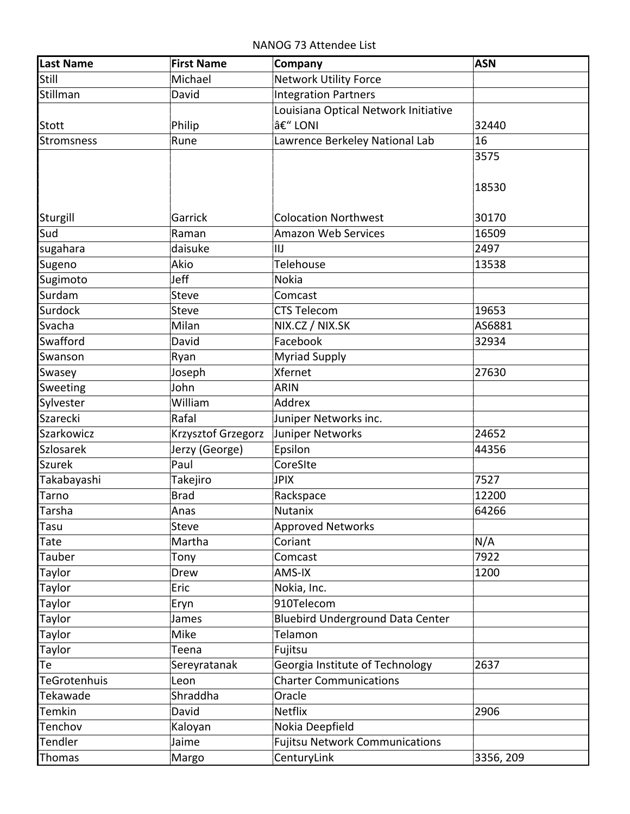NANOG 73 Attendee List

| Still<br><b>Network Utility Force</b><br>Michael<br>Stillman<br>David<br><b>Integration Partners</b><br>Louisiana Optical Network Initiative<br>– LONI<br>Philip<br>32440<br><b>Stott</b><br>16<br>Lawrence Berkeley National Lab<br><b>Stromsness</b><br>Rune<br>3575<br>18530<br>Sturgill<br>Garrick<br><b>Colocation Northwest</b><br>30170<br>Sud<br>16509<br><b>Amazon Web Services</b><br>Raman<br>sugahara<br>daisuke<br>2497<br>IIJ<br>Telehouse<br>Akio<br>13538<br>Sugeno<br>Jeff<br>Sugimoto<br><b>Nokia</b><br>Surdam<br><b>Steve</b><br>Comcast<br>Surdock<br><b>Steve</b><br><b>CTS Telecom</b><br>19653<br>Svacha<br>Milan<br>NIX.CZ / NIX.SK<br>AS6881<br>Swafford<br>Facebook<br>David<br>32934<br><b>Myriad Supply</b><br>Swanson<br>Ryan<br>Xfernet<br>27630<br>Joseph<br>Swasey<br>John<br><b>ARIN</b><br>Sweeting<br>Sylvester<br>William<br>Addrex<br>Szarecki<br>Rafal<br>Juniper Networks inc.<br>Krzysztof Grzegorz<br>Juniper Networks<br>Szarkowicz<br>24652<br>Epsilon<br><b>Szlosarek</b><br>Jerzy (George)<br>44356<br><b>Szurek</b><br>CoreSIte<br>Paul<br>7527<br>Takabayashi<br>Takejiro<br><b>JPIX</b><br>Tarno<br><b>Brad</b><br>12200<br>Rackspace<br>Tarsha<br>64266<br>Nutanix<br>Anas<br>Steve<br><b>Approved Networks</b><br>Tasu<br>Martha<br>N/A<br>Tate<br>Coriant<br>Comcast<br>7922<br>Tauber<br>Tony<br>1200<br>Taylor<br>AMS-IX<br>Drew<br>Taylor<br>Nokia, Inc.<br>Eric<br>910Telecom<br>Taylor<br>Eryn<br>Taylor<br><b>Bluebird Underground Data Center</b><br>James<br>Taylor<br>Telamon<br>Mike<br>Taylor<br>Fujitsu<br>Teena | <b>Last Name</b> | <b>First Name</b> | Company | <b>ASN</b> |
|----------------------------------------------------------------------------------------------------------------------------------------------------------------------------------------------------------------------------------------------------------------------------------------------------------------------------------------------------------------------------------------------------------------------------------------------------------------------------------------------------------------------------------------------------------------------------------------------------------------------------------------------------------------------------------------------------------------------------------------------------------------------------------------------------------------------------------------------------------------------------------------------------------------------------------------------------------------------------------------------------------------------------------------------------------------------------------------------------------------------------------------------------------------------------------------------------------------------------------------------------------------------------------------------------------------------------------------------------------------------------------------------------------------------------------------------------------------------------------------------------------------------------------------------------------------------------------|------------------|-------------------|---------|------------|
|                                                                                                                                                                                                                                                                                                                                                                                                                                                                                                                                                                                                                                                                                                                                                                                                                                                                                                                                                                                                                                                                                                                                                                                                                                                                                                                                                                                                                                                                                                                                                                                  |                  |                   |         |            |
|                                                                                                                                                                                                                                                                                                                                                                                                                                                                                                                                                                                                                                                                                                                                                                                                                                                                                                                                                                                                                                                                                                                                                                                                                                                                                                                                                                                                                                                                                                                                                                                  |                  |                   |         |            |
|                                                                                                                                                                                                                                                                                                                                                                                                                                                                                                                                                                                                                                                                                                                                                                                                                                                                                                                                                                                                                                                                                                                                                                                                                                                                                                                                                                                                                                                                                                                                                                                  |                  |                   |         |            |
|                                                                                                                                                                                                                                                                                                                                                                                                                                                                                                                                                                                                                                                                                                                                                                                                                                                                                                                                                                                                                                                                                                                                                                                                                                                                                                                                                                                                                                                                                                                                                                                  |                  |                   |         |            |
|                                                                                                                                                                                                                                                                                                                                                                                                                                                                                                                                                                                                                                                                                                                                                                                                                                                                                                                                                                                                                                                                                                                                                                                                                                                                                                                                                                                                                                                                                                                                                                                  |                  |                   |         |            |
|                                                                                                                                                                                                                                                                                                                                                                                                                                                                                                                                                                                                                                                                                                                                                                                                                                                                                                                                                                                                                                                                                                                                                                                                                                                                                                                                                                                                                                                                                                                                                                                  |                  |                   |         |            |
|                                                                                                                                                                                                                                                                                                                                                                                                                                                                                                                                                                                                                                                                                                                                                                                                                                                                                                                                                                                                                                                                                                                                                                                                                                                                                                                                                                                                                                                                                                                                                                                  |                  |                   |         |            |
|                                                                                                                                                                                                                                                                                                                                                                                                                                                                                                                                                                                                                                                                                                                                                                                                                                                                                                                                                                                                                                                                                                                                                                                                                                                                                                                                                                                                                                                                                                                                                                                  |                  |                   |         |            |
|                                                                                                                                                                                                                                                                                                                                                                                                                                                                                                                                                                                                                                                                                                                                                                                                                                                                                                                                                                                                                                                                                                                                                                                                                                                                                                                                                                                                                                                                                                                                                                                  |                  |                   |         |            |
|                                                                                                                                                                                                                                                                                                                                                                                                                                                                                                                                                                                                                                                                                                                                                                                                                                                                                                                                                                                                                                                                                                                                                                                                                                                                                                                                                                                                                                                                                                                                                                                  |                  |                   |         |            |
|                                                                                                                                                                                                                                                                                                                                                                                                                                                                                                                                                                                                                                                                                                                                                                                                                                                                                                                                                                                                                                                                                                                                                                                                                                                                                                                                                                                                                                                                                                                                                                                  |                  |                   |         |            |
|                                                                                                                                                                                                                                                                                                                                                                                                                                                                                                                                                                                                                                                                                                                                                                                                                                                                                                                                                                                                                                                                                                                                                                                                                                                                                                                                                                                                                                                                                                                                                                                  |                  |                   |         |            |
|                                                                                                                                                                                                                                                                                                                                                                                                                                                                                                                                                                                                                                                                                                                                                                                                                                                                                                                                                                                                                                                                                                                                                                                                                                                                                                                                                                                                                                                                                                                                                                                  |                  |                   |         |            |
|                                                                                                                                                                                                                                                                                                                                                                                                                                                                                                                                                                                                                                                                                                                                                                                                                                                                                                                                                                                                                                                                                                                                                                                                                                                                                                                                                                                                                                                                                                                                                                                  |                  |                   |         |            |
|                                                                                                                                                                                                                                                                                                                                                                                                                                                                                                                                                                                                                                                                                                                                                                                                                                                                                                                                                                                                                                                                                                                                                                                                                                                                                                                                                                                                                                                                                                                                                                                  |                  |                   |         |            |
|                                                                                                                                                                                                                                                                                                                                                                                                                                                                                                                                                                                                                                                                                                                                                                                                                                                                                                                                                                                                                                                                                                                                                                                                                                                                                                                                                                                                                                                                                                                                                                                  |                  |                   |         |            |
|                                                                                                                                                                                                                                                                                                                                                                                                                                                                                                                                                                                                                                                                                                                                                                                                                                                                                                                                                                                                                                                                                                                                                                                                                                                                                                                                                                                                                                                                                                                                                                                  |                  |                   |         |            |
|                                                                                                                                                                                                                                                                                                                                                                                                                                                                                                                                                                                                                                                                                                                                                                                                                                                                                                                                                                                                                                                                                                                                                                                                                                                                                                                                                                                                                                                                                                                                                                                  |                  |                   |         |            |
|                                                                                                                                                                                                                                                                                                                                                                                                                                                                                                                                                                                                                                                                                                                                                                                                                                                                                                                                                                                                                                                                                                                                                                                                                                                                                                                                                                                                                                                                                                                                                                                  |                  |                   |         |            |
|                                                                                                                                                                                                                                                                                                                                                                                                                                                                                                                                                                                                                                                                                                                                                                                                                                                                                                                                                                                                                                                                                                                                                                                                                                                                                                                                                                                                                                                                                                                                                                                  |                  |                   |         |            |
|                                                                                                                                                                                                                                                                                                                                                                                                                                                                                                                                                                                                                                                                                                                                                                                                                                                                                                                                                                                                                                                                                                                                                                                                                                                                                                                                                                                                                                                                                                                                                                                  |                  |                   |         |            |
|                                                                                                                                                                                                                                                                                                                                                                                                                                                                                                                                                                                                                                                                                                                                                                                                                                                                                                                                                                                                                                                                                                                                                                                                                                                                                                                                                                                                                                                                                                                                                                                  |                  |                   |         |            |
|                                                                                                                                                                                                                                                                                                                                                                                                                                                                                                                                                                                                                                                                                                                                                                                                                                                                                                                                                                                                                                                                                                                                                                                                                                                                                                                                                                                                                                                                                                                                                                                  |                  |                   |         |            |
|                                                                                                                                                                                                                                                                                                                                                                                                                                                                                                                                                                                                                                                                                                                                                                                                                                                                                                                                                                                                                                                                                                                                                                                                                                                                                                                                                                                                                                                                                                                                                                                  |                  |                   |         |            |
|                                                                                                                                                                                                                                                                                                                                                                                                                                                                                                                                                                                                                                                                                                                                                                                                                                                                                                                                                                                                                                                                                                                                                                                                                                                                                                                                                                                                                                                                                                                                                                                  |                  |                   |         |            |
|                                                                                                                                                                                                                                                                                                                                                                                                                                                                                                                                                                                                                                                                                                                                                                                                                                                                                                                                                                                                                                                                                                                                                                                                                                                                                                                                                                                                                                                                                                                                                                                  |                  |                   |         |            |
|                                                                                                                                                                                                                                                                                                                                                                                                                                                                                                                                                                                                                                                                                                                                                                                                                                                                                                                                                                                                                                                                                                                                                                                                                                                                                                                                                                                                                                                                                                                                                                                  |                  |                   |         |            |
|                                                                                                                                                                                                                                                                                                                                                                                                                                                                                                                                                                                                                                                                                                                                                                                                                                                                                                                                                                                                                                                                                                                                                                                                                                                                                                                                                                                                                                                                                                                                                                                  |                  |                   |         |            |
|                                                                                                                                                                                                                                                                                                                                                                                                                                                                                                                                                                                                                                                                                                                                                                                                                                                                                                                                                                                                                                                                                                                                                                                                                                                                                                                                                                                                                                                                                                                                                                                  |                  |                   |         |            |
|                                                                                                                                                                                                                                                                                                                                                                                                                                                                                                                                                                                                                                                                                                                                                                                                                                                                                                                                                                                                                                                                                                                                                                                                                                                                                                                                                                                                                                                                                                                                                                                  |                  |                   |         |            |
|                                                                                                                                                                                                                                                                                                                                                                                                                                                                                                                                                                                                                                                                                                                                                                                                                                                                                                                                                                                                                                                                                                                                                                                                                                                                                                                                                                                                                                                                                                                                                                                  |                  |                   |         |            |
|                                                                                                                                                                                                                                                                                                                                                                                                                                                                                                                                                                                                                                                                                                                                                                                                                                                                                                                                                                                                                                                                                                                                                                                                                                                                                                                                                                                                                                                                                                                                                                                  |                  |                   |         |            |
|                                                                                                                                                                                                                                                                                                                                                                                                                                                                                                                                                                                                                                                                                                                                                                                                                                                                                                                                                                                                                                                                                                                                                                                                                                                                                                                                                                                                                                                                                                                                                                                  |                  |                   |         |            |
|                                                                                                                                                                                                                                                                                                                                                                                                                                                                                                                                                                                                                                                                                                                                                                                                                                                                                                                                                                                                                                                                                                                                                                                                                                                                                                                                                                                                                                                                                                                                                                                  |                  |                   |         |            |
|                                                                                                                                                                                                                                                                                                                                                                                                                                                                                                                                                                                                                                                                                                                                                                                                                                                                                                                                                                                                                                                                                                                                                                                                                                                                                                                                                                                                                                                                                                                                                                                  |                  |                   |         |            |
|                                                                                                                                                                                                                                                                                                                                                                                                                                                                                                                                                                                                                                                                                                                                                                                                                                                                                                                                                                                                                                                                                                                                                                                                                                                                                                                                                                                                                                                                                                                                                                                  |                  |                   |         |            |
|                                                                                                                                                                                                                                                                                                                                                                                                                                                                                                                                                                                                                                                                                                                                                                                                                                                                                                                                                                                                                                                                                                                                                                                                                                                                                                                                                                                                                                                                                                                                                                                  |                  |                   |         |            |
|                                                                                                                                                                                                                                                                                                                                                                                                                                                                                                                                                                                                                                                                                                                                                                                                                                                                                                                                                                                                                                                                                                                                                                                                                                                                                                                                                                                                                                                                                                                                                                                  |                  |                   |         |            |
| 2637<br>Te<br>Georgia Institute of Technology<br>Sereyratanak                                                                                                                                                                                                                                                                                                                                                                                                                                                                                                                                                                                                                                                                                                                                                                                                                                                                                                                                                                                                                                                                                                                                                                                                                                                                                                                                                                                                                                                                                                                    |                  |                   |         |            |
| <b>Charter Communications</b><br><b>TeGrotenhuis</b><br>Leon                                                                                                                                                                                                                                                                                                                                                                                                                                                                                                                                                                                                                                                                                                                                                                                                                                                                                                                                                                                                                                                                                                                                                                                                                                                                                                                                                                                                                                                                                                                     |                  |                   |         |            |
| Tekawade<br>Shraddha<br>Oracle                                                                                                                                                                                                                                                                                                                                                                                                                                                                                                                                                                                                                                                                                                                                                                                                                                                                                                                                                                                                                                                                                                                                                                                                                                                                                                                                                                                                                                                                                                                                                   |                  |                   |         |            |
| <b>Temkin</b><br>David<br>Netflix<br>2906                                                                                                                                                                                                                                                                                                                                                                                                                                                                                                                                                                                                                                                                                                                                                                                                                                                                                                                                                                                                                                                                                                                                                                                                                                                                                                                                                                                                                                                                                                                                        |                  |                   |         |            |
| Nokia Deepfield<br>Tenchov<br>Kaloyan                                                                                                                                                                                                                                                                                                                                                                                                                                                                                                                                                                                                                                                                                                                                                                                                                                                                                                                                                                                                                                                                                                                                                                                                                                                                                                                                                                                                                                                                                                                                            |                  |                   |         |            |
| <b>Tendler</b><br><b>Fujitsu Network Communications</b><br>Jaime                                                                                                                                                                                                                                                                                                                                                                                                                                                                                                                                                                                                                                                                                                                                                                                                                                                                                                                                                                                                                                                                                                                                                                                                                                                                                                                                                                                                                                                                                                                 |                  |                   |         |            |
| CenturyLink<br>3356, 209<br>Thomas<br>Margo                                                                                                                                                                                                                                                                                                                                                                                                                                                                                                                                                                                                                                                                                                                                                                                                                                                                                                                                                                                                                                                                                                                                                                                                                                                                                                                                                                                                                                                                                                                                      |                  |                   |         |            |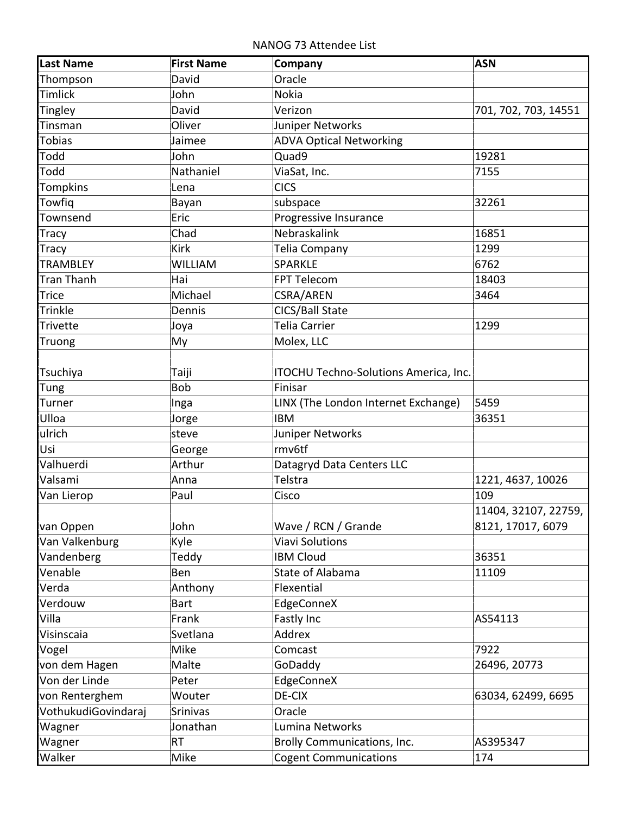NANOG 73 Attendee List

| <b>Last Name</b>    | <b>First Name</b> | Company                               | <b>ASN</b>           |
|---------------------|-------------------|---------------------------------------|----------------------|
| Thompson            | David             | Oracle                                |                      |
| <b>Timlick</b>      | John              | <b>Nokia</b>                          |                      |
| <b>Tingley</b>      | David             | Verizon                               | 701, 702, 703, 14551 |
| Tinsman             | Oliver            | Juniper Networks                      |                      |
| <b>Tobias</b>       | Jaimee            | <b>ADVA Optical Networking</b>        |                      |
| Todd                | John              | Quad9                                 | 19281                |
| Todd                | Nathaniel         | ViaSat, Inc.                          | 7155                 |
| <b>Tompkins</b>     | Lena              | <b>CICS</b>                           |                      |
| Towfiq              | Bayan             | subspace                              | 32261                |
| Townsend            | Eric              | Progressive Insurance                 |                      |
| <b>Tracy</b>        | Chad              | Nebraskalink                          | 16851                |
| <b>Tracy</b>        | <b>Kirk</b>       | Telia Company                         | 1299                 |
| <b>TRAMBLEY</b>     | <b>WILLIAM</b>    | <b>SPARKLE</b>                        | 6762                 |
| <b>Tran Thanh</b>   | Hai               | FPT Telecom                           | 18403                |
| <b>Trice</b>        | Michael           | CSRA/AREN                             | 3464                 |
| Trinkle             | Dennis            | CICS/Ball State                       |                      |
| <b>Trivette</b>     | Joya              | Telia Carrier                         | 1299                 |
| Truong              | My                | Molex, LLC                            |                      |
|                     |                   |                                       |                      |
| Tsuchiya            | Taiji             | ITOCHU Techno-Solutions America, Inc. |                      |
| Tung                | Bob               | Finisar                               |                      |
| Turner              | Inga              | LINX (The London Internet Exchange)   | 5459                 |
| Ulloa               | Jorge             | <b>IBM</b>                            | 36351                |
| ulrich              | steve             | Juniper Networks                      |                      |
| Usi                 | George            | rmv6tf                                |                      |
| Valhuerdi           | Arthur            | Datagryd Data Centers LLC             |                      |
| Valsami             | Anna              | Telstra                               | 1221, 4637, 10026    |
| Van Lierop          | Paul              | Cisco                                 | 109                  |
|                     |                   |                                       | 11404, 32107, 22759, |
| van Oppen           | John              | Wave / RCN / Grande                   | 8121, 17017, 6079    |
| Van Valkenburg      | Kyle              | <b>Viavi Solutions</b>                |                      |
| Vandenberg          | Teddy             | <b>IBM Cloud</b>                      | 36351                |
| Venable             | Ben               | <b>State of Alabama</b>               | 11109                |
| Verda               | Anthony           | Flexential                            |                      |
| Verdouw             | <b>Bart</b>       | EdgeConneX                            |                      |
| Villa               | Frank             | Fastly Inc                            | AS54113              |
| Visinscaia          | Svetlana          | Addrex                                |                      |
| Vogel               | Mike              | Comcast                               | 7922                 |
| von dem Hagen       | Malte             | GoDaddy                               | 26496, 20773         |
| Von der Linde       | Peter             | EdgeConneX                            |                      |
| von Renterghem      | Wouter            | DE-CIX                                | 63034, 62499, 6695   |
| VothukudiGovindaraj | Srinivas          | Oracle                                |                      |
| Wagner              | Jonathan          | Lumina Networks                       |                      |
| Wagner              | <b>RT</b>         | <b>Brolly Communications, Inc.</b>    | AS395347             |
| Walker              | Mike              | <b>Cogent Communications</b>          | 174                  |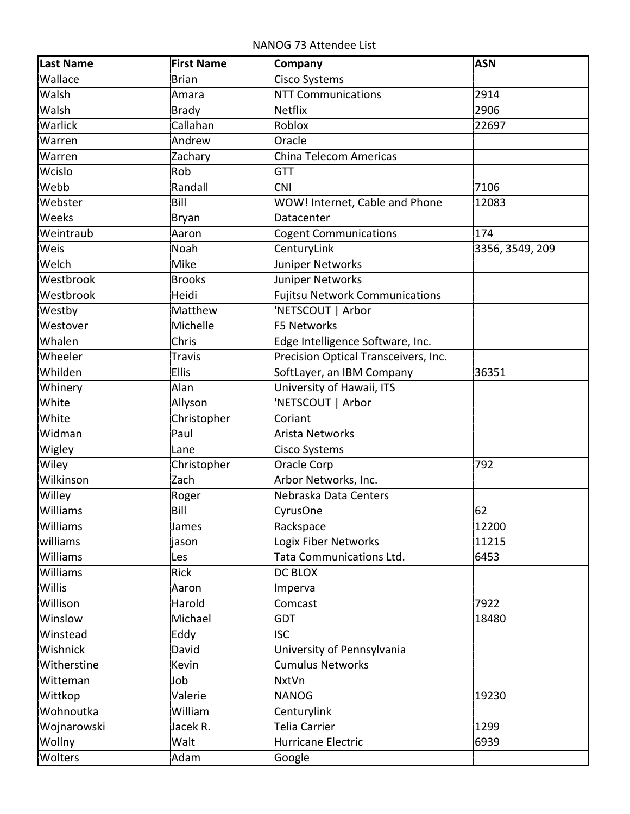NANOG 73 Attendee List

| <b>Last Name</b> | <b>First Name</b> | Company                               | <b>ASN</b>      |
|------------------|-------------------|---------------------------------------|-----------------|
| Wallace          | <b>Brian</b>      | <b>Cisco Systems</b>                  |                 |
| Walsh            | Amara             | <b>NTT Communications</b>             | 2914            |
| Walsh            | <b>Brady</b>      | <b>Netflix</b>                        | 2906            |
| Warlick          | Callahan          | Roblox                                | 22697           |
| Warren           | Andrew            | Oracle                                |                 |
| Warren           | Zachary           | China Telecom Americas                |                 |
| Wcislo           | Rob               | <b>GTT</b>                            |                 |
| Webb             | Randall           | <b>CNI</b>                            | 7106            |
| Webster          | Bill              | WOW! Internet, Cable and Phone        | 12083           |
| Weeks            | Bryan             | Datacenter                            |                 |
| Weintraub        | Aaron             | <b>Cogent Communications</b>          | 174             |
| Weis             | Noah              | CenturyLink                           | 3356, 3549, 209 |
| Welch            | Mike              | Juniper Networks                      |                 |
| Westbrook        | <b>Brooks</b>     | Juniper Networks                      |                 |
| Westbrook        | Heidi             | <b>Fujitsu Network Communications</b> |                 |
| Westby           | Matthew           | 'NETSCOUT   Arbor                     |                 |
| Westover         | Michelle          | <b>F5 Networks</b>                    |                 |
| Whalen           | Chris             | Edge Intelligence Software, Inc.      |                 |
| Wheeler          | <b>Travis</b>     | Precision Optical Transceivers, Inc.  |                 |
| Whilden          | Ellis             | SoftLayer, an IBM Company             | 36351           |
| Whinery          | Alan              | University of Hawaii, ITS             |                 |
| White            | Allyson           | 'NETSCOUT   Arbor                     |                 |
| White            | Christopher       | Coriant                               |                 |
| Widman           | Paul              | Arista Networks                       |                 |
| Wigley           | Lane              | Cisco Systems                         |                 |
| Wiley            | Christopher       | Oracle Corp                           | 792             |
| Wilkinson        | Zach              | Arbor Networks, Inc.                  |                 |
| Willey           | Roger             | Nebraska Data Centers                 |                 |
| Williams         | Bill              | CyrusOne                              | 62              |
| Williams         | James             | Rackspace                             | 12200           |
| williams         | jason             | Logix Fiber Networks                  | 11215           |
| Williams         | Les               | Tata Communications Ltd.              | 6453            |
| <b>Williams</b>  | Rick              | DC BLOX                               |                 |
| Willis           | Aaron             | Imperva                               |                 |
| Willison         | Harold            | Comcast                               | 7922            |
| Winslow          | Michael           | <b>GDT</b>                            | 18480           |
| Winstead         | Eddy              | <b>ISC</b>                            |                 |
| Wishnick         | David             | University of Pennsylvania            |                 |
| Witherstine      | Kevin             | <b>Cumulus Networks</b>               |                 |
| Witteman         | Job               | <b>NxtVn</b>                          |                 |
| Wittkop          | Valerie           | <b>NANOG</b>                          | 19230           |
| Wohnoutka        | William           | Centurylink                           |                 |
| Wojnarowski      | Jacek R.          | Telia Carrier                         | 1299            |
| Wollny           | Walt              | Hurricane Electric                    | 6939            |
| Wolters          | Adam              | Google                                |                 |